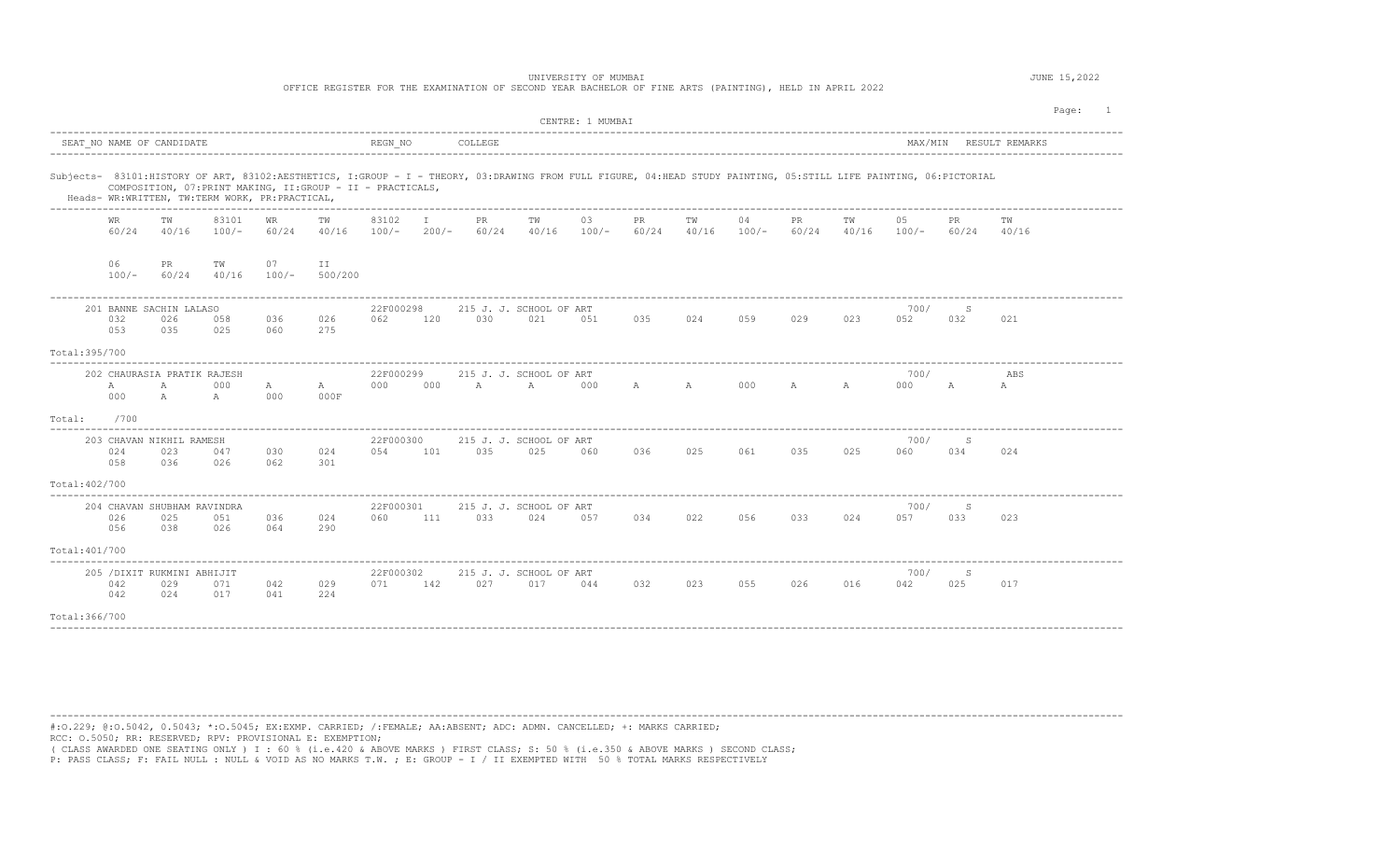|                |               |                                                 |                                                                                    |               |                                                             |                  |               |              | OFFICE REGISTER FOR THE EXAMINATION OF SECOND YEAR BACHELOR OF FINE ARTS (PAINTING), HELD IN APRIL 2022                                                           | UNIVERSITY OF MUMBAI |              |             |               |             |             |               |              |                        | JUNE 15,2022 |  |
|----------------|---------------|-------------------------------------------------|------------------------------------------------------------------------------------|---------------|-------------------------------------------------------------|------------------|---------------|--------------|-------------------------------------------------------------------------------------------------------------------------------------------------------------------|----------------------|--------------|-------------|---------------|-------------|-------------|---------------|--------------|------------------------|--------------|--|
|                |               |                                                 |                                                                                    |               |                                                             |                  |               |              |                                                                                                                                                                   | CENTRE: 1 MUMBAI     |              |             |               |             |             |               |              |                        | Page: 1      |  |
|                |               | SEAT NO NAME OF CANDIDATE                       |                                                                                    |               |                                                             | REGN NO          |               | COLLEGE      |                                                                                                                                                                   |                      |              |             |               |             |             |               |              | MAX/MIN RESULT REMARKS |              |  |
|                |               |                                                 | Heads- WR:WRITTEN, TW:TERM WORK, PR:PRACTICAL,<br>-------------------------------- |               | COMPOSITION, 07: PRINT MAKING, II: GROUP - II - PRACTICALS, |                  |               |              | Subjects- 83101:HISTORY OF ART, 83102:AESTHETICS, I:GROUP - I - THEORY, 03:DRAWING FROM FULL FIGURE, 04:HEAD STUDY PAINTING, 05:STILL LIFE PAINTING, 06:PICTORIAL |                      |              |             |               |             |             |               |              |                        |              |  |
|                | WR<br>60/24   | ТW<br>40/16                                     | 83101<br>$100/-$                                                                   | WR<br>60/24   | ТW<br>40/16                                                 | 83102<br>$100/-$ | Ι.<br>$200/-$ | PR<br>60/24  | тw<br>40/16                                                                                                                                                       | 03<br>$100/-$        | PR.<br>60/24 | тw<br>40/16 | 04<br>$100/-$ | PR<br>60/24 | ТW<br>40/16 | 05<br>$100/-$ | PR.<br>60/24 | ТW<br>40/16            |              |  |
|                | 06<br>$100/-$ | PR.<br>60/24                                    | TW<br>40/16                                                                        | 07<br>$100/-$ | II.<br>500/200                                              |                  |               |              |                                                                                                                                                                   |                      |              |             |               |             |             |               |              |                        |              |  |
|                | 032<br>053    | 201 BANNE SACHIN LALASO<br>026<br>035           | 058<br>025                                                                         | 036<br>060    | 026<br>275                                                  | 22F000298<br>062 | 120           | 030          | 215 J. J. SCHOOL OF ART<br>021                                                                                                                                    | 051                  | 035          | 024         | 059           | 029         | 023         | 700/<br>052   | S<br>032     | 021                    |              |  |
| Total: 395/700 |               |                                                 |                                                                                    |               |                                                             |                  |               |              |                                                                                                                                                                   |                      |              |             |               |             |             |               |              |                        |              |  |
|                | А<br>000      | 202 CHAURASIA PRATIK RAJESH<br>Α<br>$\mathbb A$ | 000<br>A                                                                           | A<br>000      | A<br>000F                                                   | 22F000299<br>000 | 000           | $\mathbb{A}$ | 215 J. J. SCHOOL OF ART<br>A                                                                                                                                      | 000                  | $\mathbb{A}$ | A           | 000           | A           | A           | 700/<br>000   | A            | ABS<br>А               |              |  |
| Total:         | /700          |                                                 |                                                                                    |               |                                                             |                  |               |              |                                                                                                                                                                   |                      |              |             |               |             |             |               |              |                        |              |  |
|                | 024<br>058    | 203 CHAVAN NIKHIL RAMESH<br>023<br>036          | 047<br>026                                                                         | 030<br>062    | 024<br>301                                                  | 22F000300<br>054 | 101           | 035          | 215 J. J. SCHOOL OF ART<br>025                                                                                                                                    | 060                  | 036          | 025         | 061           | 035         | 025         | 700/<br>060   | S<br>034     | 024                    |              |  |
| Total: 402/700 |               |                                                 |                                                                                    |               |                                                             |                  |               |              |                                                                                                                                                                   |                      |              |             |               |             |             |               |              |                        |              |  |
|                | 026<br>056    | 204 CHAVAN SHUBHAM RAVINDRA<br>025<br>038       | 051<br>026                                                                         | 036<br>064    | 024<br>290                                                  | 22F000301<br>060 | 111           | 033          | 215 J. J. SCHOOL OF ART<br>024                                                                                                                                    | 057                  | 034          | 022         | 056           | 033         | 024         | 700/<br>057   | S<br>033     | 023                    |              |  |
| Total: 401/700 |               |                                                 |                                                                                    |               |                                                             |                  |               |              |                                                                                                                                                                   |                      |              |             |               |             |             |               |              |                        |              |  |
| Total: 366/700 | 042<br>042    | 205 / DIXIT RUKMINI ABHIJIT<br>029<br>024       | 071<br>017                                                                         | 042<br>041    | 029<br>224                                                  | 22F000302<br>071 | 142           | 027          | 215 J. J. SCHOOL OF ART<br>017                                                                                                                                    | 044                  | 032          | 023         | 055           | 026         | 016         | 700/<br>042   | S<br>025     | 017                    |              |  |
|                |               |                                                 |                                                                                    |               |                                                             |                  |               |              |                                                                                                                                                                   |                      |              |             |               |             |             |               |              |                        |              |  |

---------------------------------------------------------------------------------------------------------------------------------------------------------------------------------------- #:O.229; @:O.5042, 0.5043; \*:O.5045; EX:EXMP. CARRIED; /:FEMALE; AA:ABSENT; ADC: ADMN. CANCELLED; +: MARKS CARRIED;

RCC: O.5050; RR: RESERVED; RPV: PROVISIONAL E: EXEMPTION;

( CLASS AWARDED ONE SEATING ONLY ) I : 60 % (i.e.420 & ABOVE MARKS ) FIRST CLASS; S: 50 % (i.e.350 & ABOVE MARKS ) SECOND CLASS;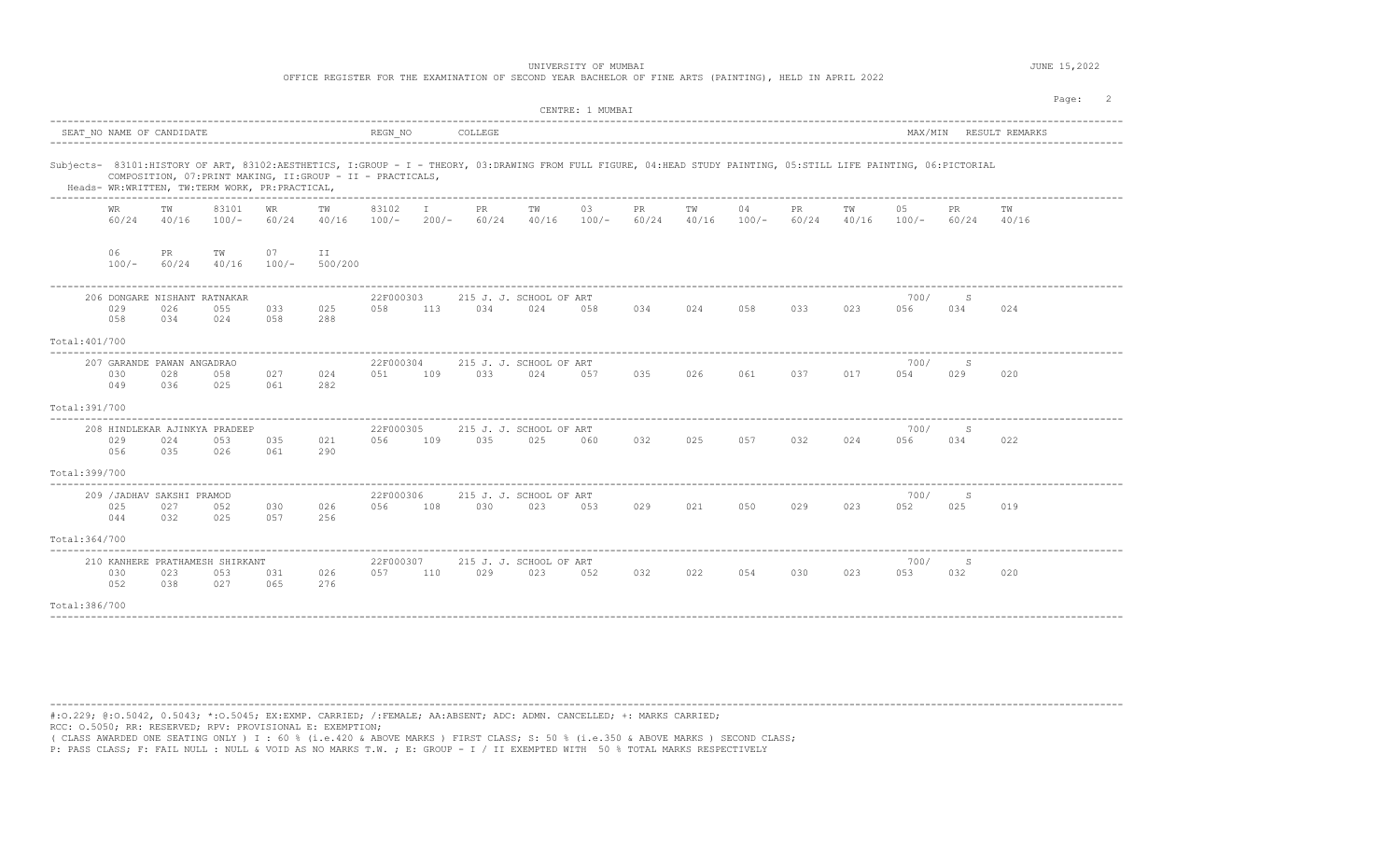OFFICE REGISTER FOR THE EXAMINATION OF SECOND YEAR BACHELOR OF FINE ARTS (PAINTING), HELD IN APRIL 2022

|                |                                          |             |                                                                                                               |               |               |                  |                         |                    |                                                                                                                                                                   | CENTRE: 1 MUMBAI |             |             |               |             |             |               |              |                | Page: |
|----------------|------------------------------------------|-------------|---------------------------------------------------------------------------------------------------------------|---------------|---------------|------------------|-------------------------|--------------------|-------------------------------------------------------------------------------------------------------------------------------------------------------------------|------------------|-------------|-------------|---------------|-------------|-------------|---------------|--------------|----------------|-------|
|                | SEAT NO NAME OF CANDIDATE                |             |                                                                                                               |               |               | REGN NO          |                         | COLLEGE            |                                                                                                                                                                   |                  |             |             |               |             |             | MAX/MIN       |              | RESULT REMARKS |       |
|                |                                          |             | COMPOSITION, 07: PRINT MAKING, II: GROUP - II - PRACTICALS,<br>Heads- WR:WRITTEN, TW:TERM WORK, PR:PRACTICAL, |               |               |                  |                         |                    | Subjects- 83101:HISTORY OF ART, 83102:AESTHETICS, I:GROUP - I - THEORY, 03:DRAWING FROM FULL FIGURE, 04:HEAD STUDY PAINTING, 05:STILL LIFE PAINTING, 06:PICTORIAL |                  |             |             |               |             |             |               |              |                |       |
|                | <b>WR</b><br>60/24                       | TW<br>40/16 | 83101<br>$100/-$                                                                                              | WR<br>60/24   | TW<br>40/16   | 83102<br>$100/-$ | $\mathbb{I}$<br>$200/-$ | <b>PR</b><br>60/24 | TW<br>40/16                                                                                                                                                       | 03<br>$100/-$    | PR<br>60/24 | TW<br>40/16 | 04<br>$100/-$ | PR<br>60/24 | TW<br>40/16 | 05<br>$100/-$ | PR.<br>60/24 | TW<br>40/16    |       |
|                | 06<br>$100/-$                            | PR<br>60/24 | TW<br>40/16                                                                                                   | 07<br>$100/-$ | II<br>500/200 |                  |                         |                    |                                                                                                                                                                   |                  |             |             |               |             |             |               |              |                |       |
|                | 029<br>058                               | 026<br>034  | 206 DONGARE NISHANT RATNAKAR<br>055<br>024                                                                    | 033<br>058    | 025<br>288    | 22F000303<br>058 | 113                     | 034                | 215 J. J. SCHOOL OF ART<br>024                                                                                                                                    | 058              | 034         | 024         | 058           | 033         | 023         | 700/<br>056   | S<br>034     | 024            |       |
| Total: 401/700 |                                          |             |                                                                                                               |               |               |                  |                         |                    |                                                                                                                                                                   |                  |             |             |               |             |             |               |              |                |       |
|                | 207 GARANDE PAWAN ANGADRAO<br>030<br>049 | 028<br>036  | 058<br>025                                                                                                    | 027<br>061    | 024<br>282    | 22F000304<br>051 | 109                     | 033                | 215 J. J. SCHOOL OF ART<br>024                                                                                                                                    | 057              | 035         | 026         | 061           | 037         | 017         | 700/<br>054   | S<br>029     | 020            |       |
| Total: 391/700 |                                          |             |                                                                                                               |               |               |                  |                         |                    |                                                                                                                                                                   |                  |             |             |               |             |             |               |              |                |       |
|                | 029<br>056                               | 024<br>035  | 208 HINDLEKAR AJINKYA PRADEEP<br>053<br>026                                                                   | 035<br>061    | 021<br>290    | 22F000305<br>056 | 109                     | 035                | 215 J. J. SCHOOL OF ART<br>025                                                                                                                                    | 060              | 032         | 025         | 057           | 032         | 024         | 700/<br>056   | S<br>034     | 022            |       |
| Total: 399/700 |                                          |             |                                                                                                               |               |               |                  |                         |                    |                                                                                                                                                                   |                  |             |             |               |             |             |               |              |                |       |
|                | 209 / JADHAV SAKSHI PRAMOD<br>025<br>044 | 027<br>032  | 052<br>025                                                                                                    | 030<br>057    | 026<br>256    | 22F000306<br>056 | 108                     | 030                | 215 J. J. SCHOOL OF ART<br>023                                                                                                                                    | 053              | 029         | 021         | 050           | 029         | 023         | 700/<br>052   | S<br>025     | 019            |       |
| Total: 364/700 |                                          |             |                                                                                                               |               |               |                  |                         |                    |                                                                                                                                                                   |                  |             |             |               |             |             |               |              |                |       |
|                | 030<br>052                               | 023<br>038  | 210 KANHERE PRATHAMESH SHIRKANT<br>053<br>027                                                                 | 031<br>065    | 026<br>276    | 22F000307<br>057 | 110                     | 029                | 215 J. J. SCHOOL OF ART<br>023                                                                                                                                    | 052              | 032         | 022         | 054           | 030         | 023         | 700/<br>053   | S<br>032     | 020            |       |
| Total: 386/700 |                                          |             |                                                                                                               |               |               |                  |                         |                    |                                                                                                                                                                   |                  |             |             |               |             |             |               |              |                |       |

----------------------------------------------------------------------------------------------------------------------------------------------------------------------------------------

#:O.229; @:O.5042, 0.5043; \*:O.5045; EX:EXMP. CARRIED; /:FEMALE; AA:ABSENT; ADC: ADMN. CANCELLED; +: MARKS CARRIED; RCC: O.5050; RR: RESERVED; RPV: PROVISIONAL E: EXEMPTION;

( CLASS AWARDED ONE SEATING ONLY ) I : 60 % (i.e.420 & ABOVE MARKS ) FIRST CLASS; S: 50 % (i.e.350 & ABOVE MARKS ) SECOND CLASS;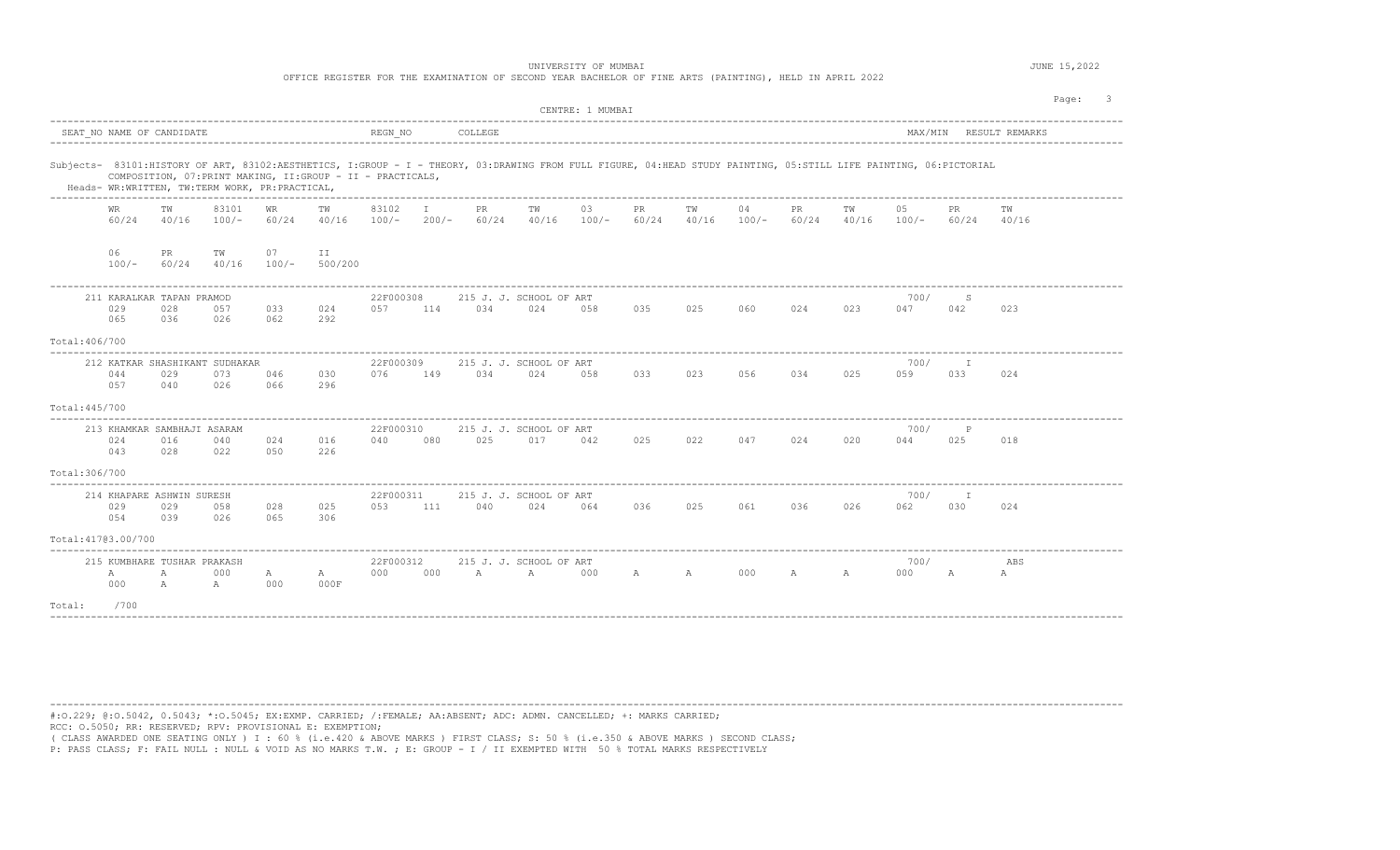OFFICE REGISTER FOR THE EXAMINATION OF SECOND YEAR BACHELOR OF FINE ARTS (PAINTING), HELD IN APRIL 2022

|                                                                                                                                                                                                                     |                              |                     |               |                                                             |                  |                         |             |                                | CENTRE: 1 MUMBAI |              |              |               |                    |             |               |                         | Page:                  |  |
|---------------------------------------------------------------------------------------------------------------------------------------------------------------------------------------------------------------------|------------------------------|---------------------|---------------|-------------------------------------------------------------|------------------|-------------------------|-------------|--------------------------------|------------------|--------------|--------------|---------------|--------------------|-------------|---------------|-------------------------|------------------------|--|
| SEAT NO NAME OF CANDIDATE                                                                                                                                                                                           |                              |                     |               |                                                             | REGN NO          |                         | COLLEGE     |                                |                  |              |              |               |                    |             |               |                         | MAX/MIN RESULT REMARKS |  |
| Subjects- 83101:HISTORY OF ART, 83102:AESTHETICS, I:GROUP - I - THEORY, 03:DRAWING FROM FULL FIGURE, 04:HEAD STUDY PAINTING, 05:STILL LIFE PAINTING, 06:PICTORIAL<br>Heads- WR:WRITTEN, TW:TERM WORK, PR:PRACTICAL, |                              |                     |               | COMPOSITION, 07: PRINT MAKING, II: GROUP - II - PRACTICALS, |                  |                         |             |                                |                  |              |              |               |                    |             |               |                         |                        |  |
| WR<br>60/24                                                                                                                                                                                                         | TW<br>40/16                  | 83101<br>$100/-$    | WR<br>60/24   | TW<br>40/16                                                 | 83102<br>$100/-$ | $\mathbf{I}$<br>$200/-$ | PR<br>60/24 | TW<br>40/16                    | 03<br>$100/-$    | PR<br>60/24  | TW<br>40/16  | 04<br>$100/-$ | <b>PR</b><br>60/24 | TW<br>40/16 | 05<br>$100/-$ | PR<br>60/24             | TW<br>40/16            |  |
| 06<br>$100/-$                                                                                                                                                                                                       | PR<br>60/24                  | TW<br>40/16         | 07<br>$100/-$ | II.<br>500/200                                              |                  |                         |             |                                |                  |              |              |               |                    |             |               |                         |                        |  |
| 211 KARALKAR TAPAN PRAMOD<br>029<br>065                                                                                                                                                                             | 028<br>036                   | 057<br>026          | 033<br>062    | 024<br>292                                                  | 22F000308<br>057 | 114                     | 034         | 215 J. J. SCHOOL OF ART<br>024 | 058              | 035          | 025          | 060           | 024                | 023         | 700/<br>047   | S<br>042                | 023                    |  |
| Total: 406/700                                                                                                                                                                                                      |                              |                     |               |                                                             |                  |                         |             |                                |                  |              |              |               |                    |             |               |                         |                        |  |
| 212 KATKAR SHASHIKANT SUDHAKAR<br>044<br>057                                                                                                                                                                        | 029<br>040                   | 073<br>026          | 046<br>066    | 030<br>296                                                  | 22F000309<br>076 | 149                     | 034         | 215 J. J. SCHOOL OF ART<br>024 | 058              | 033          | 023          | 056           | 034                | 025         | 700/<br>059   | 033                     | 024                    |  |
| Total: 445/700                                                                                                                                                                                                      |                              |                     |               |                                                             |                  |                         |             |                                |                  |              |              |               |                    |             |               |                         |                        |  |
| 213 KHAMKAR SAMBHAJI ASARAM<br>024<br>043                                                                                                                                                                           | 016<br>028                   | 040<br>022          | 024<br>050    | 016<br>226                                                  | 22F000310<br>040 | 080                     | 025         | 215 J. J. SCHOOL OF ART<br>017 | 042              | 025          | 022          | 047           | 024                | 020         | 700/<br>044   | $\, {\mathbb P}$<br>025 | 018                    |  |
| Total: 306/700                                                                                                                                                                                                      |                              |                     |               |                                                             |                  |                         |             |                                |                  |              |              |               |                    |             |               |                         |                        |  |
| 214 KHAPARE ASHWIN SURESH<br>029<br>054                                                                                                                                                                             | 029<br>039                   | 058<br>026          | 028<br>065    | 025<br>306                                                  | 22F000311<br>053 | 111                     | 040         | 215 J. J. SCHOOL OF ART<br>024 | 064              | 036          | 025          | 061           | 036                | 026         | 700/<br>062   | Ι.<br>030               | 024                    |  |
| Total: 41703.00/700                                                                                                                                                                                                 |                              |                     |               |                                                             |                  |                         |             |                                |                  |              |              |               |                    |             |               |                         |                        |  |
| 215 KUMBHARE TUSHAR PRAKASH<br>Α<br>000                                                                                                                                                                             | $\mathbb{A}$<br>$\mathbb{A}$ | 000<br>$\mathbb{A}$ | A<br>000      | $\mathbb A$<br>000F                                         | 22F000312<br>000 | 000                     | A           | 215 J. J. SCHOOL OF ART<br>A   | 000              | $\mathbb{A}$ | $\mathbb{A}$ | 000           | A                  | A           | 700/<br>000   | A                       | ABS<br>А               |  |
| Total:<br>/700                                                                                                                                                                                                      |                              |                     |               |                                                             |                  |                         |             |                                |                  |              |              |               |                    |             |               |                         |                        |  |

----------------------------------------------------------------------------------------------------------------------------------------------------------------------------------------

#:O.229; @:O.5042, 0.5043; \*:O.5045; EX:EXMP. CARRIED; /:FEMALE; AA:ABSENT; ADC: ADMN. CANCELLED; +: MARKS CARRIED; RCC: O.5050; RR: RESERVED; RPV: PROVISIONAL E: EXEMPTION;

( CLASS AWARDED ONE SEATING ONLY ) I : 60 % (i.e.420 & ABOVE MARKS ) FIRST CLASS; S: 50 % (i.e.350 & ABOVE MARKS ) SECOND CLASS;<br>P: PASS CLASS; F: FAIL NULL : NULL & VOID AS NO MARKS T.W. ; E: GROUP - I / II EXEMPTED WITH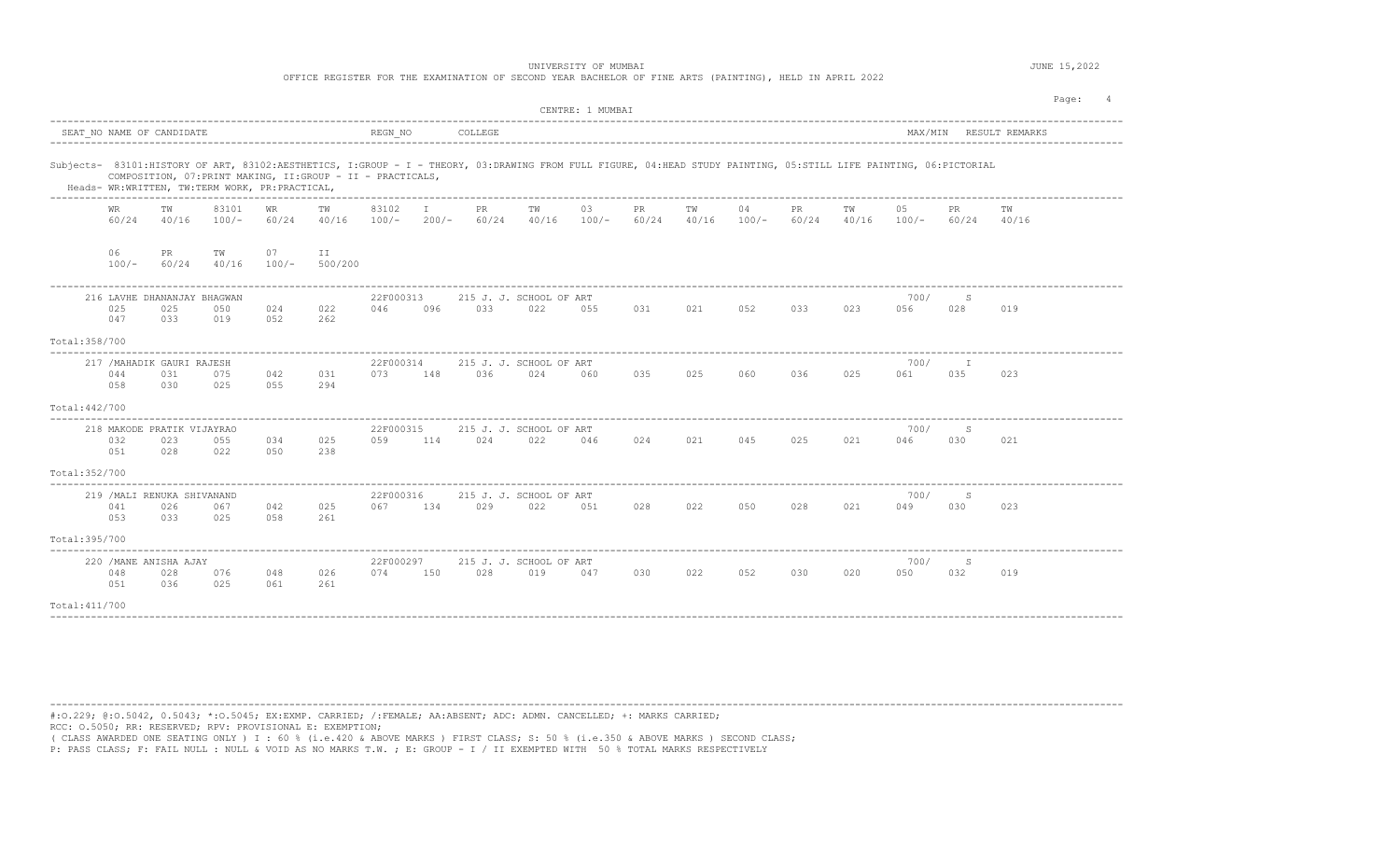OFFICE REGISTER FOR THE EXAMINATION OF SECOND YEAR BACHELOR OF FINE ARTS (PAINTING), HELD IN APRIL 2022

|                |                    |                                           |                                                |               |                                                             |                  |               |              |                                                                                                                                                                   | CENTRE: 1 MUMBAI |              |             |               |              |             |               |              |                        | Page: |
|----------------|--------------------|-------------------------------------------|------------------------------------------------|---------------|-------------------------------------------------------------|------------------|---------------|--------------|-------------------------------------------------------------------------------------------------------------------------------------------------------------------|------------------|--------------|-------------|---------------|--------------|-------------|---------------|--------------|------------------------|-------|
|                |                    | SEAT NO NAME OF CANDIDATE                 |                                                |               |                                                             | REGN NO          |               | COLLEGE      |                                                                                                                                                                   |                  |              |             |               |              |             |               |              | MAX/MIN RESULT REMARKS |       |
|                |                    |                                           | Heads- WR:WRITTEN, TW:TERM WORK, PR:PRACTICAL, |               | COMPOSITION, 07: PRINT MAKING, II: GROUP - II - PRACTICALS, |                  |               |              | Subjects- 83101:HISTORY OF ART, 83102:AESTHETICS, I:GROUP - I - THEORY, 03:DRAWING FROM FULL FIGURE, 04:HEAD STUDY PAINTING, 05:STILL LIFE PAINTING, 06:PICTORIAL |                  |              |             |               |              |             |               |              |                        |       |
|                | <b>WR</b><br>60/24 | TW<br>40/16                               | 83101<br>$100/-$                               | WR.<br>60/24  | TW<br>40/16                                                 | 83102<br>$100/-$ | Т.<br>$200/-$ | PR.<br>60/24 | TW<br>40/16                                                                                                                                                       | 03<br>$100/-$    | PR.<br>60/24 | TW<br>40/16 | 04<br>$100/-$ | PR.<br>60/24 | TW<br>40/16 | 05<br>$100/-$ | PR.<br>60/24 | TW<br>40/16            |       |
|                | 06<br>$100/-$      | PR<br>60/24                               | TW<br>40/16                                    | 07<br>$100/-$ | ΙI<br>500/200                                               |                  |               |              |                                                                                                                                                                   |                  |              |             |               |              |             |               |              |                        |       |
|                | 025<br>047         | 216 LAVHE DHANANJAY BHAGWAN<br>025<br>033 | 050<br>019                                     | 024<br>052    | 022<br>262                                                  | 22F000313<br>046 | 096           | 033          | 215 J. J. SCHOOL OF ART<br>022                                                                                                                                    | 055              | 031          | 021         | 052           | 033          | 023         | 700/<br>056   | S<br>028     | 019                    |       |
| Total: 358/700 |                    |                                           |                                                |               |                                                             |                  |               |              |                                                                                                                                                                   |                  |              |             |               |              |             |               |              |                        |       |
|                | 044<br>058         | 217 / MAHADIK GAURI RAJESH<br>031<br>030  | 075<br>025                                     | 042<br>055    | 031<br>294                                                  | 22F000314<br>073 | 148           | 036          | 215 J. J. SCHOOL OF ART<br>024                                                                                                                                    | 060              | 035          | 025         | 060           | 036          | 025         | 700/<br>061   | 035          | 023                    |       |
| Total: 442/700 |                    |                                           |                                                |               |                                                             |                  |               |              |                                                                                                                                                                   |                  |              |             |               |              |             |               |              |                        |       |
|                | 032<br>051         | 218 MAKODE PRATIK VIJAYRAO<br>023<br>028  | 055<br>022                                     | 034<br>050    | 025<br>238                                                  | 22F000315<br>059 | 114           | 024          | 215 J. J. SCHOOL OF ART<br>022                                                                                                                                    | 046              | 024          | 021         | 045           | 025          | 021         | 700/<br>046   | S<br>030     | 021                    |       |
| Total: 352/700 |                    |                                           |                                                |               |                                                             |                  |               |              |                                                                                                                                                                   |                  |              |             |               |              |             |               |              |                        |       |
|                | 041<br>053         | 219 / MALI RENUKA SHIVANAND<br>026<br>033 | 067<br>025                                     | 042<br>058    | 025<br>261                                                  | 22F000316<br>067 | 134           | 029          | 215 J. J. SCHOOL OF ART<br>022                                                                                                                                    | 051              | 028          | 022         | 050           | 028          | 021         | 700/<br>049   | S<br>030     | 023                    |       |
| Total:395/700  |                    |                                           |                                                |               |                                                             |                  |               |              |                                                                                                                                                                   |                  |              |             |               |              |             |               |              |                        |       |
|                | 048<br>051         | 220 / MANE ANISHA AJAY<br>028<br>036      | 076<br>025                                     | 048<br>061    | 026<br>261                                                  | 22F000297<br>074 | 150           | 028          | 215 J. J. SCHOOL OF ART<br>019                                                                                                                                    | 047              | 030          | 022         | 052           | 030          | 020         | 700/<br>050   | S<br>032     | 019                    |       |
| Total: 411/700 |                    |                                           |                                                |               |                                                             |                  |               |              |                                                                                                                                                                   |                  |              |             |               |              |             |               |              |                        |       |

----------------------------------------------------------------------------------------------------------------------------------------------------------------------------------------

#:O.229; @:O.5042, 0.5043; \*:O.5045; EX:EXMP. CARRIED; /:FEMALE; AA:ABSENT; ADC: ADMN. CANCELLED; +: MARKS CARRIED; RCC: O.5050; RR: RESERVED; RPV: PROVISIONAL E: EXEMPTION;

( CLASS AWARDED ONE SEATING ONLY ) I : 60 % (i.e.420 & ABOVE MARKS ) FIRST CLASS; S: 50 % (i.e.350 & ABOVE MARKS ) SECOND CLASS;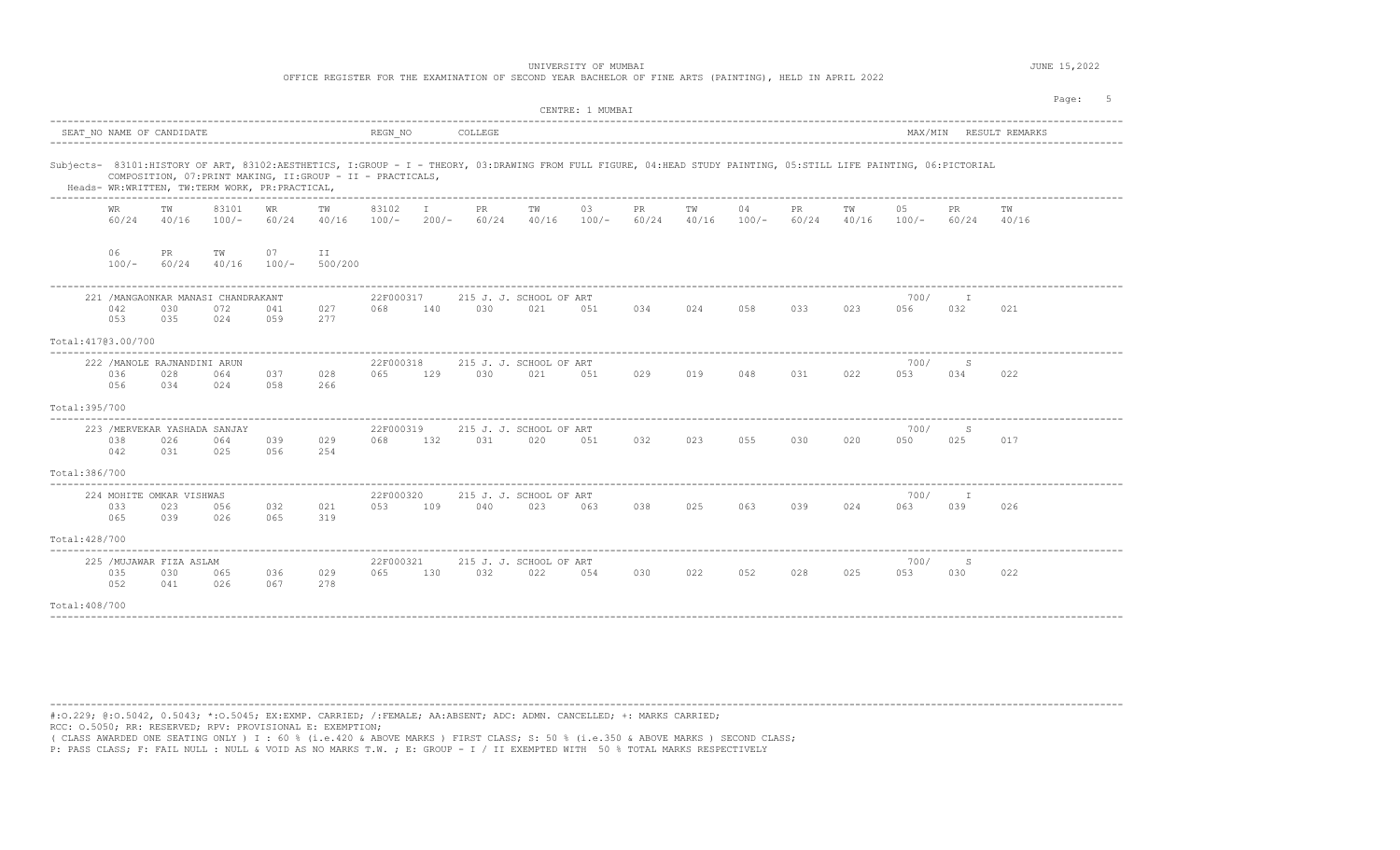OFFICE REGISTER FOR THE EXAMINATION OF SECOND YEAR BACHELOR OF FINE ARTS (PAINTING), HELD IN APRIL 2022

|                     |               |                                             |                                                       |               |                                                                                                                                                                                                                                  |                  |         |              |                                | CENTRE: 1 MUMBAI |              |             |               |                    |             |                |               |                        | Page: |
|---------------------|---------------|---------------------------------------------|-------------------------------------------------------|---------------|----------------------------------------------------------------------------------------------------------------------------------------------------------------------------------------------------------------------------------|------------------|---------|--------------|--------------------------------|------------------|--------------|-------------|---------------|--------------------|-------------|----------------|---------------|------------------------|-------|
|                     |               | SEAT NO NAME OF CANDIDATE                   |                                                       |               |                                                                                                                                                                                                                                  | REGN NO          |         | COLLEGE      |                                |                  |              |             |               |                    |             |                |               | MAX/MIN RESULT REMARKS |       |
|                     |               |                                             | Heads- WR:WRITTEN, TW:TERM WORK, PR:PRACTICAL,        |               | Subjects- 83101:HISTORY OF ART, 83102:AESTHETICS, I:GROUP - I - THEORY, 03:DRAWING FROM FULL FIGURE, 04:HEAD STUDY PAINTING, 05:STILL LIFE PAINTING, 06:PICTORIAL<br>COMPOSITION, 07: PRINT MAKING, II: GROUP - II - PRACTICALS, |                  |         |              |                                |                  |              |             |               |                    |             |                |               |                        |       |
|                     | WR.<br>60/24  | TW<br>40/16                                 | ---------------------------------<br>83101<br>$100/-$ | WR.<br>60/24  | TW<br>40/16                                                                                                                                                                                                                      | 83102<br>$100/-$ | $200/-$ | PR.<br>60/24 | тw<br>40/16                    | 03<br>$100/-$    | PR.<br>60/24 | TW<br>40/16 | 04<br>$100/-$ | <b>PR</b><br>60/24 | TW<br>40/16 | 0.5<br>$100/-$ | PR.<br>60/24  | тw<br>40/16            |       |
|                     | 06<br>$100/-$ | PR<br>60/24                                 | TW<br>40/16                                           | 07<br>$100/-$ | ΙI<br>500/200                                                                                                                                                                                                                    |                  |         |              |                                |                  |              |             |               |                    |             |                |               |                        |       |
|                     | 042<br>053    | 030<br>035                                  | 221 / MANGAONKAR MANASI CHANDRAKANT<br>072<br>024     | 041<br>0.59   | 027<br>277                                                                                                                                                                                                                       | 22F000317<br>068 | 140     | 030          | 215 J. J. SCHOOL OF ART<br>021 | 051              | 034          | 024         | 058           | 033                | 023         | 700/<br>056    | I<br>032      | 021                    |       |
| Total: 41703.00/700 |               |                                             |                                                       |               |                                                                                                                                                                                                                                  |                  |         |              |                                |                  |              |             |               |                    |             |                |               |                        |       |
|                     | 036<br>056    | 222 / MANOLE RAJNANDINI ARUN<br>028<br>034  | 064<br>024                                            | 037<br>058    | 028<br>266                                                                                                                                                                                                                       | 22F000318<br>065 | 129     | 030          | 215 J. J. SCHOOL OF ART<br>021 | 051              | 029          | 019         | 048           | 031                | 022         | 700/<br>053    | S<br>034      | 022                    |       |
| Total: 395/700      |               |                                             |                                                       |               |                                                                                                                                                                                                                                  |                  |         |              |                                |                  |              |             |               |                    |             |                |               |                        |       |
|                     | 038<br>042    | 223 / MERVEKAR YASHADA SANJAY<br>026<br>031 | 064<br>025                                            | 039<br>056    | 029<br>254                                                                                                                                                                                                                       | 22F000319<br>068 | 132     | 031          | 215 J. J. SCHOOL OF ART<br>020 | 051              | 032          | 023         | 055           | 030                | 020         | 700/<br>050    | S<br>025      | 017                    |       |
| Total:386/700       |               |                                             |                                                       |               |                                                                                                                                                                                                                                  |                  |         |              |                                |                  |              |             |               |                    |             |                |               |                        |       |
|                     | 033<br>065    | 224 MOHITE OMKAR VISHWAS<br>023<br>039      | 056<br>026                                            | 032<br>065    | 021<br>319                                                                                                                                                                                                                       | 22F000320<br>053 | 109     | 040          | 215 J. J. SCHOOL OF ART<br>023 | 063              | 038          | 025         | 063           | 039                | 024         | 700/<br>063    | $\top$<br>039 | 026                    |       |
| Total: 428/700      |               |                                             |                                                       |               |                                                                                                                                                                                                                                  |                  |         |              |                                |                  |              |             |               |                    |             |                |               |                        |       |
| Total: 408/700      | 035<br>052    | 225 /MUJAWAR FIZA ASLAM<br>030<br>041       | 065<br>026                                            | 036<br>067    | 029<br>278                                                                                                                                                                                                                       | 22F000321<br>065 | 130     | 032          | 215 J. J. SCHOOL OF ART<br>022 | 054              | 030          | 022         | 052           | 028                | 025         | 700/<br>053    | S<br>030      | 022                    |       |

----------------------------------------------------------------------------------------------------------------------------------------------------------------------------------------

----------------------------------------------------------------------------------------------------------------------------------------------------------------------------------------

#:O.229; @:O.5042, 0.5043; \*:O.5045; EX:EXMP. CARRIED; /:FEMALE; AA:ABSENT; ADC: ADMN. CANCELLED; +: MARKS CARRIED; RCC: O.5050; RR: RESERVED; RPV: PROVISIONAL E: EXEMPTION;

( CLASS AWARDED ONE SEATING ONLY ) I : 60 % (i.e.420 & ABOVE MARKS ) FIRST CLASS; S: 50 % (i.e.350 & ABOVE MARKS ) SECOND CLASS;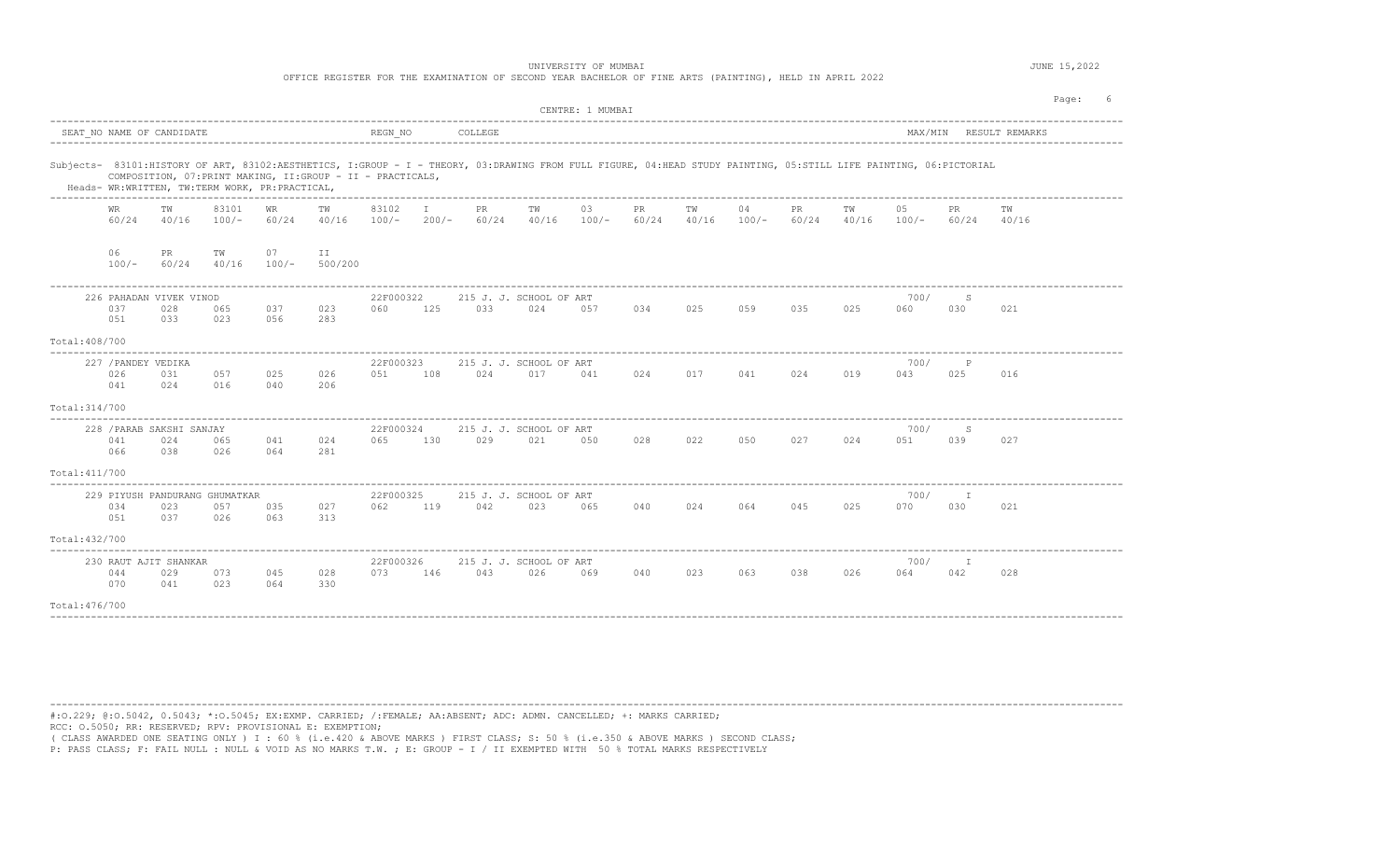OFFICE REGISTER FOR THE EXAMINATION OF SECOND YEAR BACHELOR OF FINE ARTS (PAINTING), HELD IN APRIL 2022

|                |                                   |                                         |                                                |                    |                                                             |                  |         |             |                                                                                                                                                                   | CENTRE: 1 MUMBAI |                      |             |               |             |             |               |                     |                        | Page: |
|----------------|-----------------------------------|-----------------------------------------|------------------------------------------------|--------------------|-------------------------------------------------------------|------------------|---------|-------------|-------------------------------------------------------------------------------------------------------------------------------------------------------------------|------------------|----------------------|-------------|---------------|-------------|-------------|---------------|---------------------|------------------------|-------|
|                |                                   | SEAT NO NAME OF CANDIDATE               |                                                |                    |                                                             | REGN NO          |         | COLLEGE     |                                                                                                                                                                   |                  |                      |             |               |             |             |               |                     | MAX/MIN RESULT REMARKS |       |
|                |                                   |                                         | Heads- WR:WRITTEN, TW:TERM WORK, PR:PRACTICAL, |                    | COMPOSITION, 07: PRINT MAKING, II: GROUP - II - PRACTICALS, |                  |         |             | Subjects- 83101:HISTORY OF ART, 83102:AESTHETICS, I:GROUP - I - THEORY, 03:DRAWING FROM FULL FIGURE, 04:HEAD STUDY PAINTING, 05:STILL LIFE PAINTING, 06:PICTORIAL |                  |                      |             |               |             |             |               |                     |                        |       |
|                | WR<br>60/24                       | тw<br>40/16                             | 83101<br>$100/-$                               | <b>WR</b><br>60/24 | TW<br>40/16                                                 | 83102<br>$100/-$ | $200/-$ | PR<br>60/24 | TW<br>40/16                                                                                                                                                       | 03<br>$100/-$    | $_{\rm PR}$<br>60/24 | TW<br>40/16 | 04<br>$100/-$ | PR<br>60/24 | ТW<br>40/16 | 05<br>$100/-$ | PR<br>60/24         | ТW<br>40/16            |       |
|                | 06<br>$100/-$                     | PR.<br>60/24                            | ΤW<br>40/16                                    | 07<br>$100/-$      | ΙI<br>500/200                                               |                  |         |             |                                                                                                                                                                   |                  |                      |             |               |             |             |               |                     |                        |       |
|                | 037<br>051                        | 226 PAHADAN VIVEK VINOD<br>028<br>033   | 065<br>023                                     | 037<br>056         | 023<br>283                                                  | 22F000322<br>060 | 125     | 033         | 215 J. J. SCHOOL OF ART<br>024                                                                                                                                    | 057              | 034                  | 025         | 059           | 035         | 025         | 700/<br>060   | S<br>030            | 021                    |       |
| Total: 408/700 |                                   |                                         |                                                |                    |                                                             |                  |         |             |                                                                                                                                                                   |                  |                      |             |               |             |             |               |                     |                        |       |
|                | 227 / PANDEY VEDIKA<br>026<br>041 | 031<br>024                              | 057<br>016                                     | 025<br>040         | 026<br>206                                                  | 22F000323<br>051 | 108     | 024         | 215 J. J. SCHOOL OF ART<br>017                                                                                                                                    | 041              | 024                  | 017         | 041           | 024         | 019         | 700/<br>043   | $\mathbb{P}$<br>025 | 016                    |       |
| Total: 314/700 |                                   |                                         |                                                |                    |                                                             |                  |         |             |                                                                                                                                                                   |                  |                      |             |               |             |             |               |                     |                        |       |
| Total: 411/700 | 041<br>066                        | 228 / PARAB SAKSHI SANJAY<br>024<br>038 | 065<br>026                                     | 041<br>064         | 024<br>281                                                  | 22F000324<br>065 | 130     | 029         | 215 J. J. SCHOOL OF ART<br>021                                                                                                                                    | 050              | 028                  | 022         | 050           | 027         | 024         | 700/<br>051   | S<br>039            | 027                    |       |
| Total: 432/700 | 034<br>051                        | 023<br>037                              | 229 PIYUSH PANDURANG GHUMATKAR<br>057<br>026   | 035<br>063         | 027<br>313                                                  | 22F000325<br>062 | 119     | 042         | 215 J. J. SCHOOL OF ART<br>023                                                                                                                                    | 065              | 040                  | 024         | 064           | 045         | 025         | 700/<br>070   | T<br>030            | 021                    |       |
| Total: 476/700 | 044<br>070                        | 230 RAUT AJIT SHANKAR<br>029<br>041     | 073<br>023                                     | 045<br>064         | 028<br>330                                                  | 22F000326<br>073 | 146     | 043         | 215 J. J. SCHOOL OF ART<br>026                                                                                                                                    | 069              | 040                  | 023         | 063           | 038         | 026         | 700/<br>064   | I.<br>042           | 028                    |       |

----------------------------------------------------------------------------------------------------------------------------------------------------------------------------------------

#:O.229; @:O.5042, 0.5043; \*:O.5045; EX:EXMP. CARRIED; /:FEMALE; AA:ABSENT; ADC: ADMN. CANCELLED; +: MARKS CARRIED; RCC: O.5050; RR: RESERVED; RPV: PROVISIONAL E: EXEMPTION;

( CLASS AWARDED ONE SEATING ONLY ) I : 60 % (i.e.420 & ABOVE MARKS ) FIRST CLASS; S: 50 % (i.e.350 & ABOVE MARKS ) SECOND CLASS;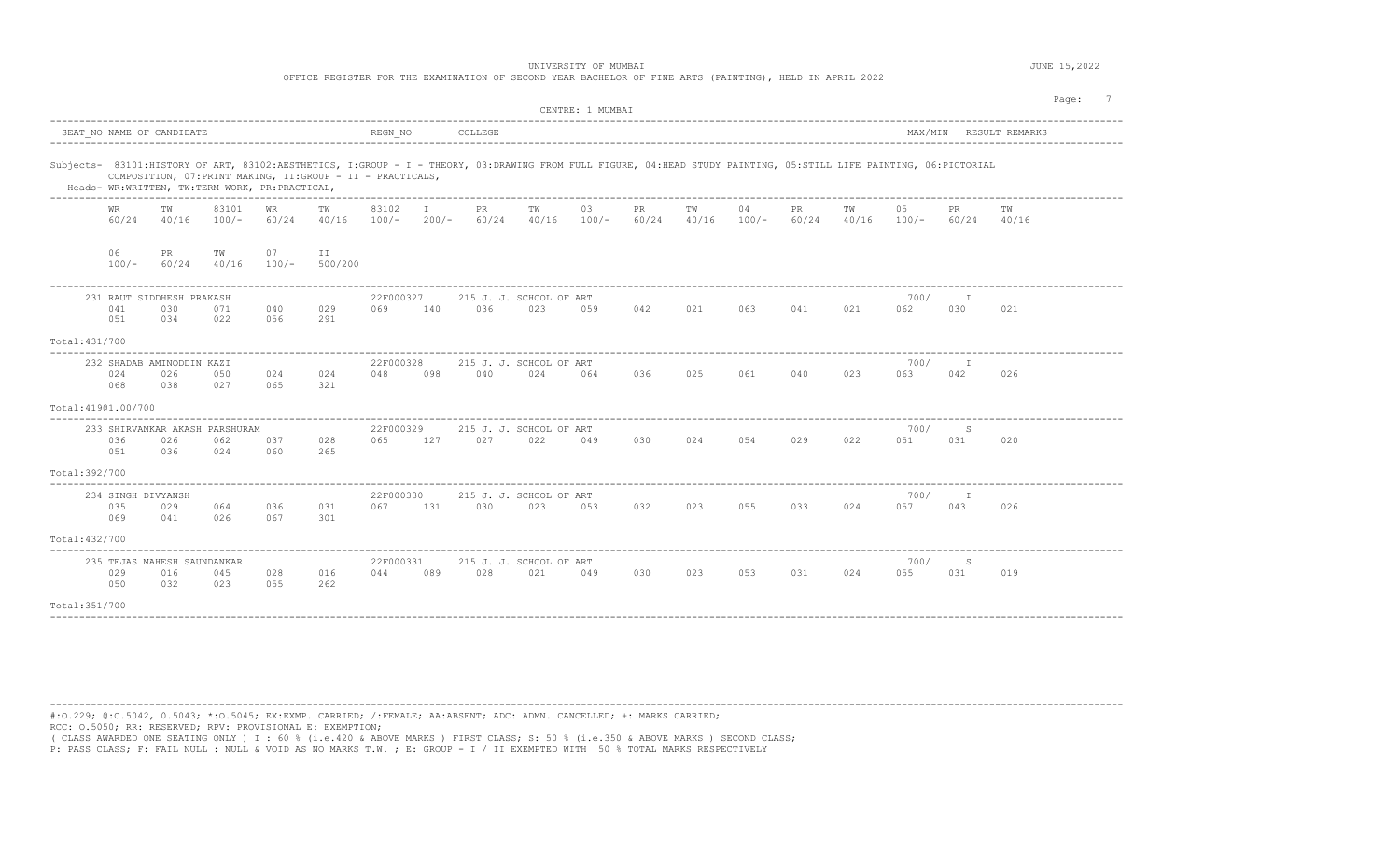OFFICE REGISTER FOR THE EXAMINATION OF SECOND YEAR BACHELOR OF FINE ARTS (PAINTING), HELD IN APRIL 2022

|                     |                                  |                                           |                                                |               |                                                                                                                                                                                                                                  |                  |         |              |                                | CENTRE: 1 MUMBAI |             |             |               |             |             |               |              | Page:          |  |
|---------------------|----------------------------------|-------------------------------------------|------------------------------------------------|---------------|----------------------------------------------------------------------------------------------------------------------------------------------------------------------------------------------------------------------------------|------------------|---------|--------------|--------------------------------|------------------|-------------|-------------|---------------|-------------|-------------|---------------|--------------|----------------|--|
|                     |                                  | SEAT NO NAME OF CANDIDATE                 |                                                |               |                                                                                                                                                                                                                                  | REGN NO          |         | COLLEGE      |                                |                  |             |             |               |             |             | MAX/MIN       |              | RESULT REMARKS |  |
|                     |                                  |                                           | Heads- WR:WRITTEN, TW:TERM WORK, PR:PRACTICAL, |               | Subjects- 83101:HISTORY OF ART, 83102:AESTHETICS, I:GROUP - I - THEORY, 03:DRAWING FROM FULL FIGURE, 04:HEAD STUDY PAINTING, 05:STILL LIFE PAINTING, 06:PICTORIAL<br>COMPOSITION, 07: PRINT MAKING, II: GROUP - II - PRACTICALS, |                  |         |              |                                |                  |             |             |               |             |             |               |              |                |  |
|                     | WR.<br>60/24                     | тw<br>40/16                               | 83101<br>$100/-$                               | WR.<br>60/24  | тw<br>40/16                                                                                                                                                                                                                      | 83102<br>$100/-$ | $200/-$ | PR.<br>60/24 | TW<br>40/16                    | 03<br>$100/-$    | PR<br>60/24 | TW<br>40/16 | 04<br>$100/-$ | PR<br>60/24 | тw<br>40/16 | 05<br>$100/-$ | PR.<br>60/24 | TW<br>40/16    |  |
|                     | 06<br>$100/-$                    | PR.<br>60/24                              | тw<br>40/16                                    | 07<br>$100/-$ | ΙI<br>500/200                                                                                                                                                                                                                    |                  |         |              |                                |                  |             |             |               |             |             |               |              |                |  |
|                     | 041<br>051                       | 231 RAUT SIDDHESH PRAKASH<br>030<br>034   | 071<br>022                                     | 040<br>056    | 029<br>291                                                                                                                                                                                                                       | 22F000327<br>069 | 140     | 036          | 215 J. J. SCHOOL OF ART<br>023 | 059              | 042         | 021         | 063           | 041         | 021         | 700/<br>062   | 030          | 021            |  |
| Total: 431/700      |                                  |                                           |                                                |               |                                                                                                                                                                                                                                  |                  |         |              |                                |                  |             |             |               |             |             |               |              |                |  |
|                     | 024<br>068                       | 232 SHADAB AMINODDIN KAZI<br>026<br>038   | 050<br>027                                     | 024<br>065    | 024<br>321                                                                                                                                                                                                                       | 22F000328<br>048 | 098     | 040          | 215 J. J. SCHOOL OF ART<br>024 | 064              | 036         | 025         | 061           | 040         | 023         | 700/<br>063   | I<br>042     | 026            |  |
| Total: 41901.00/700 |                                  |                                           |                                                |               |                                                                                                                                                                                                                                  |                  |         |              |                                |                  |             |             |               |             |             |               |              |                |  |
|                     | 036<br>051                       | 026<br>036                                | 233 SHIRVANKAR AKASH PARSHURAM<br>062<br>024   | 037<br>060    | 028<br>265                                                                                                                                                                                                                       | 22F000329<br>065 | 127     | 027          | 215 J. J. SCHOOL OF ART<br>022 | 049              | 030         | 024         | 054           | 029         | 022         | 700/<br>051   | S<br>031     | 020            |  |
| Total: 392/700      |                                  |                                           |                                                |               |                                                                                                                                                                                                                                  |                  |         |              |                                |                  |             |             |               |             |             |               |              |                |  |
|                     | 234 SINGH DIVYANSH<br>035<br>069 | 029<br>041                                | 064<br>026                                     | 036<br>067    | 031<br>301                                                                                                                                                                                                                       | 22F000330<br>067 | 131     | 030          | 215 J. J. SCHOOL OF ART<br>023 | 053              | 032         | 023         | 055           | 033         | 024         | 700/<br>057   | I<br>043     | 026            |  |
| Total: 432/700      |                                  |                                           |                                                |               |                                                                                                                                                                                                                                  |                  |         |              |                                |                  |             |             |               |             |             |               |              |                |  |
|                     | 029<br>050                       | 235 TEJAS MAHESH SAUNDANKAR<br>016<br>032 | 045<br>023                                     | 028<br>055    | 016<br>262                                                                                                                                                                                                                       | 22F000331<br>044 | 089     | 028          | 215 J. J. SCHOOL OF ART<br>021 | 049              | 030         | 023         | 053           | 031         | 024         | 700/<br>055   | S<br>031     | 019            |  |
| Total:351/700       |                                  |                                           |                                                |               |                                                                                                                                                                                                                                  |                  |         |              |                                |                  |             |             |               |             |             |               |              |                |  |

----------------------------------------------------------------------------------------------------------------------------------------------------------------------------------------

#:O.229; @:O.5042, 0.5043; \*:O.5045; EX:EXMP. CARRIED; /:FEMALE; AA:ABSENT; ADC: ADMN. CANCELLED; +: MARKS CARRIED; RCC: O.5050; RR: RESERVED; RPV: PROVISIONAL E: EXEMPTION;

( CLASS AWARDED ONE SEATING ONLY ) I : 60 % (i.e.420 & ABOVE MARKS ) FIRST CLASS; S: 50 % (i.e.350 & ABOVE MARKS ) SECOND CLASS;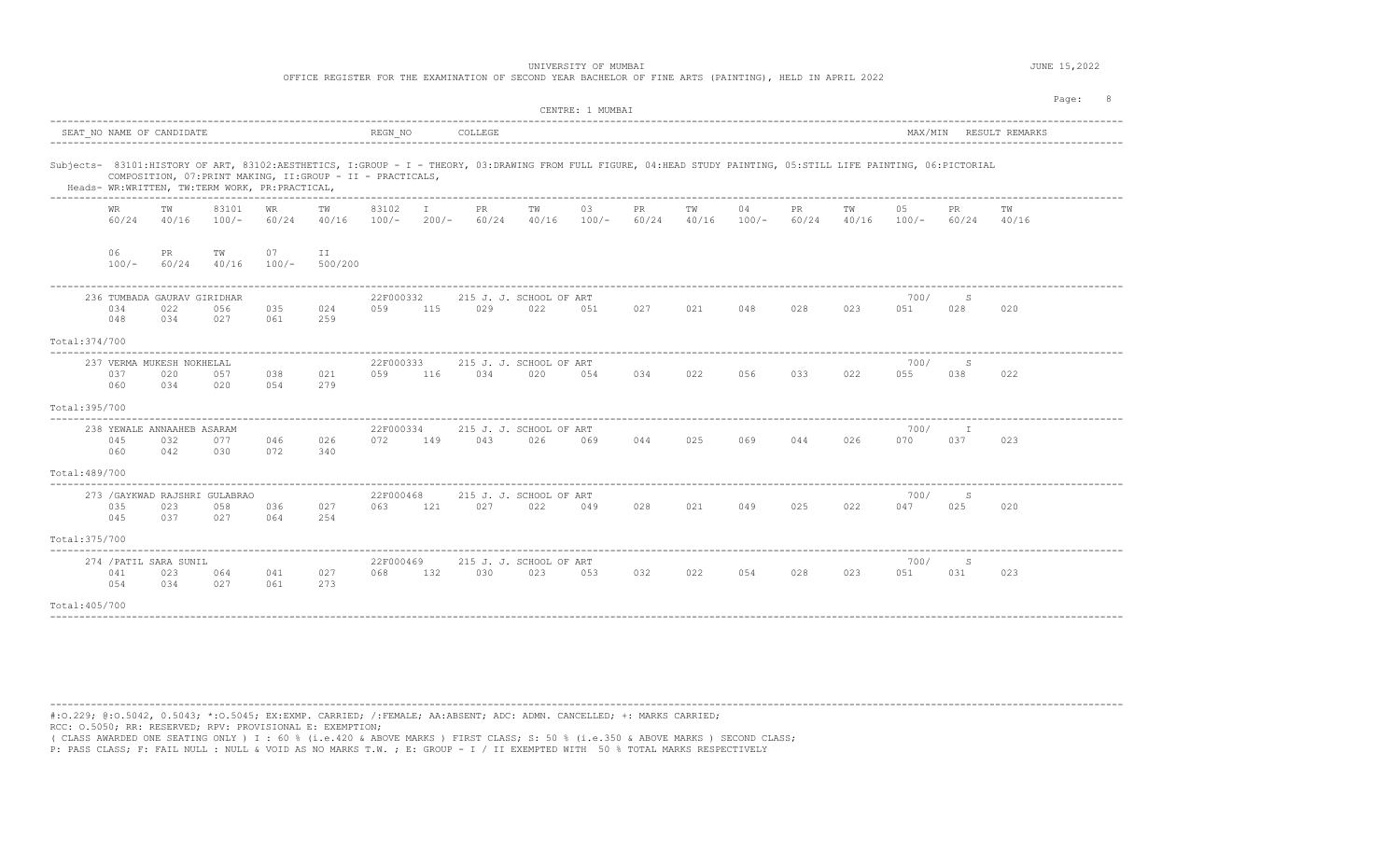OFFICE REGISTER FOR THE EXAMINATION OF SECOND YEAR BACHELOR OF FINE ARTS (PAINTING), HELD IN APRIL 2022

|                |                    |                                                          |                                                |                    |                                                             |                  |                         |              |                                                                                                                                                                   | CENTRE: 1 MUMBAI |                    |             |               |             |             |               |              |                        | Page: |  |
|----------------|--------------------|----------------------------------------------------------|------------------------------------------------|--------------------|-------------------------------------------------------------|------------------|-------------------------|--------------|-------------------------------------------------------------------------------------------------------------------------------------------------------------------|------------------|--------------------|-------------|---------------|-------------|-------------|---------------|--------------|------------------------|-------|--|
|                |                    | SEAT NO NAME OF CANDIDATE<br>--------------------------- |                                                |                    |                                                             | REGN NO          |                         | COLLEGE      |                                                                                                                                                                   |                  |                    |             |               |             |             |               |              | MAX/MIN RESULT REMARKS |       |  |
|                |                    |                                                          | Heads- WR:WRITTEN, TW:TERM WORK, PR:PRACTICAL, |                    | COMPOSITION, 07: PRINT MAKING, II: GROUP - II - PRACTICALS, |                  |                         |              | Subjects- 83101:HISTORY OF ART, 83102:AESTHETICS, I:GROUP - I - THEORY, 03:DRAWING FROM FULL FIGURE, 04:HEAD STUDY PAINTING, 05:STILL LIFE PAINTING, 06:PICTORIAL |                  |                    |             |               |             |             |               |              |                        |       |  |
|                | <b>WR</b><br>60/24 | TW<br>40/16                                              | 83101<br>$100/-$                               | <b>WR</b><br>60/24 | TW<br>40/16                                                 | 83102<br>$100/-$ | $\mathbf{I}$<br>$200/-$ | PR.<br>60/24 | TW<br>40/16                                                                                                                                                       | 03<br>$100/-$    | <b>PR</b><br>60/24 | TW<br>40/16 | 04<br>$100/-$ | PR<br>60/24 | TW<br>40/16 | 05<br>$100/-$ | PR.<br>60/24 | TW<br>40/16            |       |  |
|                | 06<br>$100/-$      | PR.<br>60/24                                             | TW<br>40/16                                    | 07<br>$100/-$      | II<br>500/200                                               |                  |                         |              |                                                                                                                                                                   |                  |                    |             |               |             |             |               |              |                        |       |  |
|                | 034<br>048         | 236 TUMBADA GAURAV GIRIDHAR<br>022<br>034                | 056<br>027                                     | 035<br>061         | 024<br>259                                                  | 22F000332<br>059 | 115                     | 029          | 215 J. J. SCHOOL OF ART<br>022                                                                                                                                    | 051              | 027                | 021         | 048           | 028         | 023         | 700/<br>051   | S<br>028     | 020                    |       |  |
| Total: 374/700 |                    |                                                          |                                                |                    |                                                             |                  |                         |              |                                                                                                                                                                   |                  |                    |             |               |             |             |               |              |                        |       |  |
|                | 037<br>060         | 237 VERMA MUKESH NOKHELAL<br>020<br>034                  | 057<br>020                                     | 038<br>054         | 021<br>279                                                  | 22F000333<br>059 | 116                     | 034          | 215 J. J. SCHOOL OF ART<br>020                                                                                                                                    | 054              | 034                | 022         | 056           | 033         | 022         | 700/<br>055   | S<br>038     | 022                    |       |  |
| Total:395/700  |                    |                                                          |                                                |                    |                                                             |                  |                         |              |                                                                                                                                                                   |                  |                    |             |               |             |             |               |              |                        |       |  |
| Total: 489/700 | 045<br>060         | 238 YEWALE ANNAAHEB ASARAM<br>032<br>042                 | 077<br>030                                     | 046<br>072         | 026<br>340                                                  | 22F000334<br>072 | 149                     | 043          | 215 J. J. SCHOOL OF ART<br>026                                                                                                                                    | 069              | 044                | 025         | 069           | 044         | 026         | 700/<br>070   | T<br>037     | 023                    |       |  |
| Total: 375/700 | 035<br>045         | 023<br>037                                               | 273 / GAYKWAD RAJSHRI GULABRAO<br>058<br>027   | 036<br>064         | 027<br>254                                                  | 22F000468<br>063 | 121                     | 027          | 215 J. J. SCHOOL OF ART<br>022                                                                                                                                    | 049              | 028                | 021         | 049           | 025         | 022         | 700/<br>047   | S<br>025     | 020                    |       |  |
| Total: 405/700 | 041<br>054         | 274 / PATIL SARA SUNIL<br>023<br>034                     | 064<br>027                                     | 041<br>061         | 027<br>273                                                  | 22F000469<br>068 | 132                     | 030          | 215 J. J. SCHOOL OF ART<br>023                                                                                                                                    | 053              | 032                | 022         | 054           | 028         | 023         | 700/<br>051   | S<br>031     | 023                    |       |  |

----------------------------------------------------------------------------------------------------------------------------------------------------------------------------------------

#:O.229; @:O.5042, 0.5043; \*:O.5045; EX:EXMP. CARRIED; /:FEMALE; AA:ABSENT; ADC: ADMN. CANCELLED; +: MARKS CARRIED; RCC: O.5050; RR: RESERVED; RPV: PROVISIONAL E: EXEMPTION;

( CLASS AWARDED ONE SEATING ONLY ) I : 60 % (i.e.420 & ABOVE MARKS ) FIRST CLASS; S: 50 % (i.e.350 & ABOVE MARKS ) SECOND CLASS;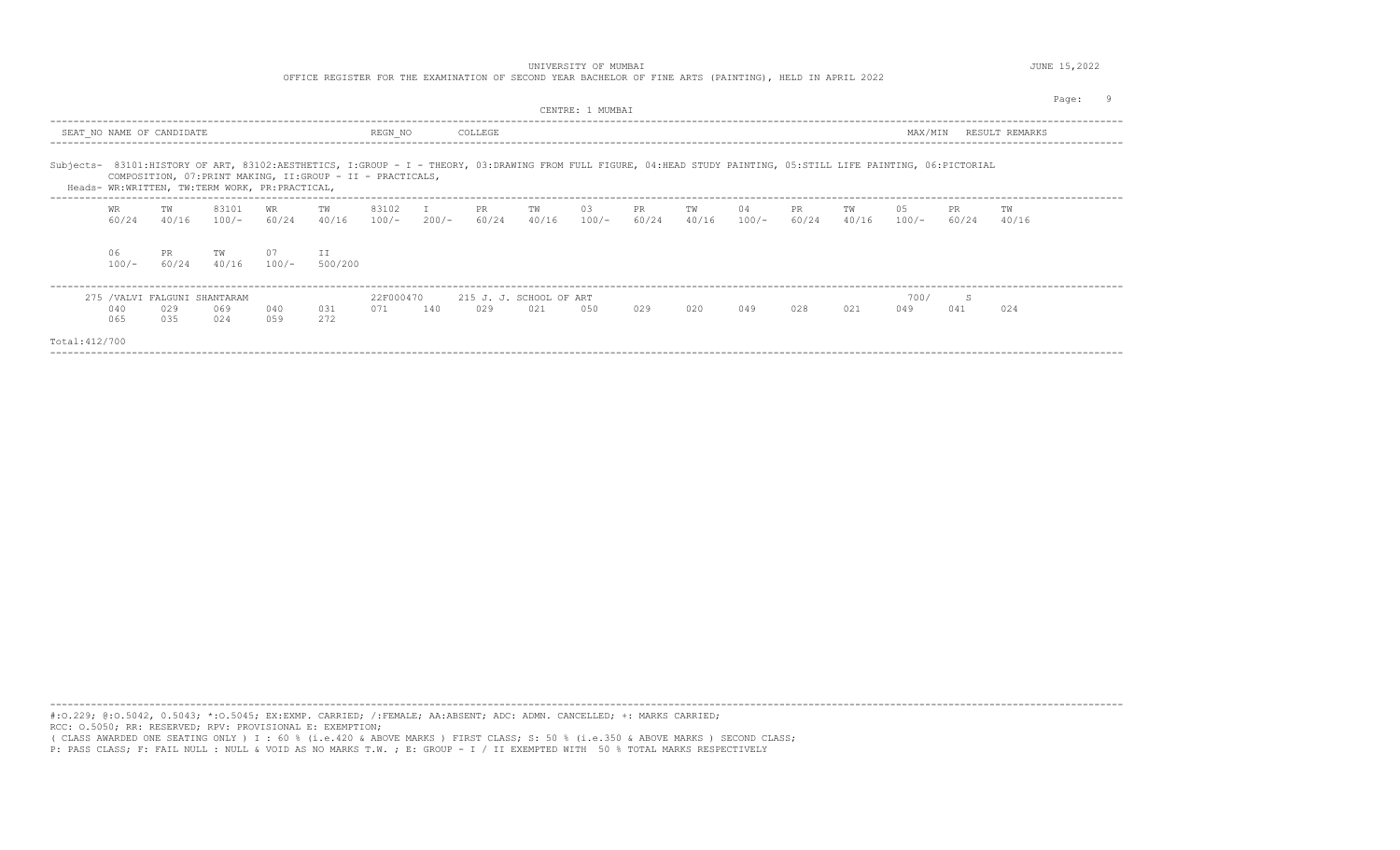UNIVERSITY OF MUMBAI **SECURE 15, 2022** 

OFFICE REGISTER FOR THE EXAMINATION OF SECOND YEAR BACHELOR OF FINE ARTS (PAINTING), HELD IN APRIL 2022

|                |                    |                                                |                  |               |                                                                                                                                                                                                                                  |                  |               |              |                                | CENTRE: 1 MUMBAI |                    |             |               |             |             |               |              |                | Page |  |
|----------------|--------------------|------------------------------------------------|------------------|---------------|----------------------------------------------------------------------------------------------------------------------------------------------------------------------------------------------------------------------------------|------------------|---------------|--------------|--------------------------------|------------------|--------------------|-------------|---------------|-------------|-------------|---------------|--------------|----------------|------|--|
|                |                    | SEAT NO NAME OF CANDIDATE                      |                  |               |                                                                                                                                                                                                                                  | REGN_NO          |               | COLLEGE      |                                |                  |                    |             |               |             |             | MAX/MIN       |              | RESULT REMARKS |      |  |
|                |                    | Heads- WR:WRITTEN, TW:TERM WORK, PR:PRACTICAL, |                  |               | Subjects- 83101:HISTORY OF ART, 83102:AESTHETICS, I:GROUP - I - THEORY, 03:DRAWING FROM FULL FIGURE, 04:HEAD STUDY PAINTING, 05:STILL LIFE PAINTING, 06:PICTORIAL<br>COMPOSITION, 07: PRINT MAKING, II: GROUP - II - PRACTICALS, |                  |               |              |                                |                  |                    |             |               |             |             |               |              |                |      |  |
|                | <b>WR</b><br>60/24 | TW<br>40/16                                    | 83101<br>$100/-$ | WR<br>60/24   | TW<br>40/16                                                                                                                                                                                                                      | 83102<br>$100/-$ | I.<br>$200/-$ | PR.<br>60/24 | TW<br>40/16                    | 03<br>$100/-$    | <b>PR</b><br>60/24 | TW<br>40/16 | 04<br>$100/-$ | PR<br>60/24 | TW<br>40/16 | 05<br>$100/-$ | PR.<br>60/24 | TW<br>40/16    |      |  |
|                | 06<br>$100/-$      | PR.<br>60/24                                   | TW<br>40/16      | 07<br>$100/-$ | II<br>500/200                                                                                                                                                                                                                    |                  |               |              |                                |                  |                    |             |               |             |             |               |              |                |      |  |
|                | 040<br>065         | 275 / VALVI FALGUNI SHANTARAM<br>029<br>035    | 069<br>024       | 040<br>0.59   | 031<br>2.72                                                                                                                                                                                                                      | 22F000470<br>071 | 140           | 029          | 215 J. J. SCHOOL OF ART<br>021 | 0.50             | 029                | 020         | 049           | 028         | 021         | 700/<br>049   | S<br>041     | 024            |      |  |
| Total: 412/700 |                    |                                                |                  |               |                                                                                                                                                                                                                                  |                  |               |              |                                |                  |                    |             |               |             |             |               |              |                |      |  |

----------------------------------------------------------------------------------------------------------------------------------------------------------------------------------------

#:O.229; @:O.5042, 0.5043; \*:O.5045; EX:EXMP. CARRIED; /:FEMALE; AA:ABSENT; ADC: ADMN. CANCELLED; +: MARKS CARRIED; RCC: O.5050; RR: RESERVED; RPV: PROVISIONAL E: EXEMPTION; ( CLASS AWARDED ONE SEATING ONLY ) I : 60 % (i.e.420 & ABOVE MARKS ) FIRST CLASS; S: 50 % (i.e.350 & ABOVE MARKS ) SECOND CLASS;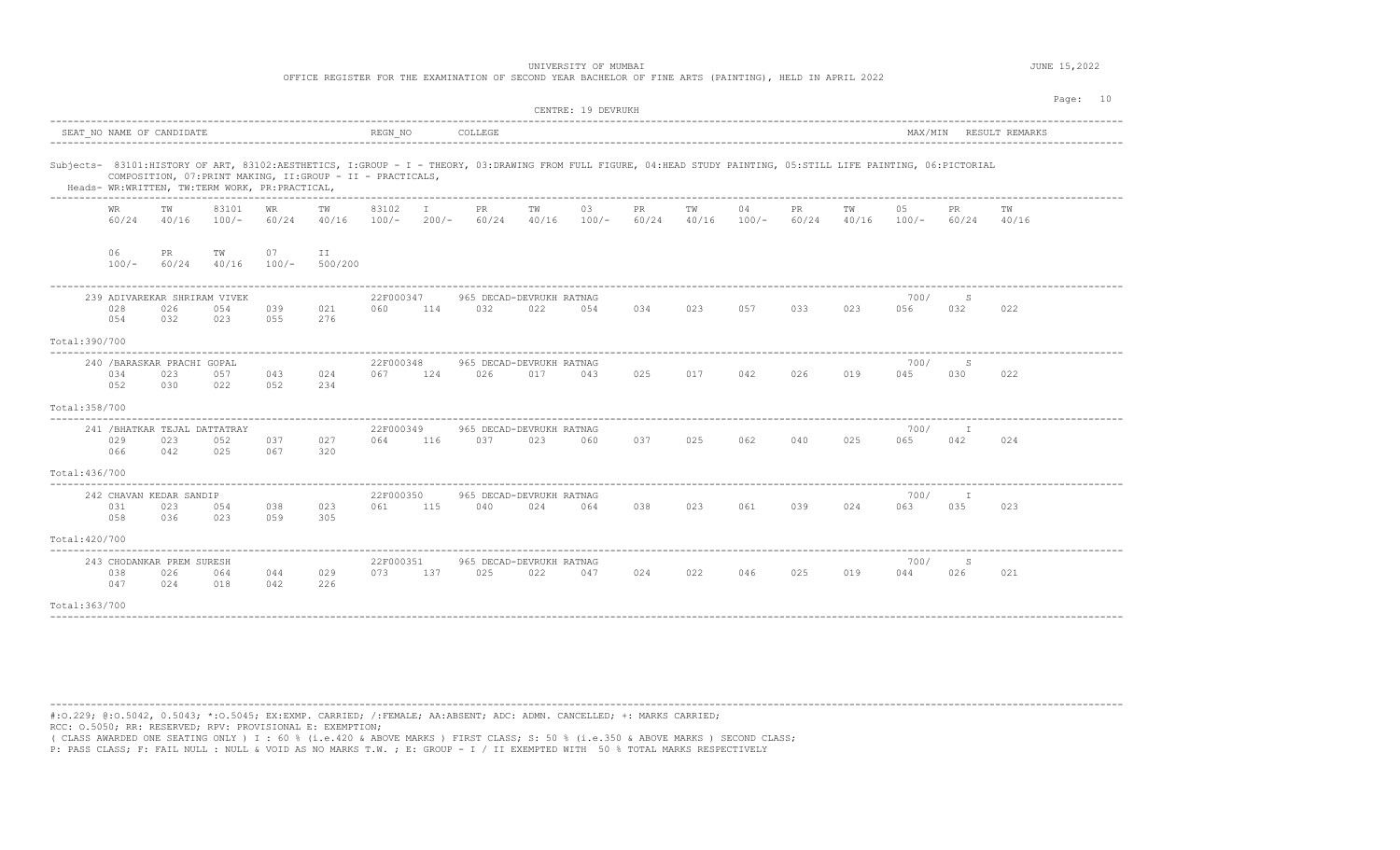|               |               |                                            |                  |                                                | OFFICE REGISTER FOR THE EXAMINATION OF SECOND YEAR BACHELOR OF FINE ARTS (PAINTING), HELD IN APRIL 2022                                                                                                                          |                  |         |                                  |             | UNIVERSITY OF MUMBAI |              |             |               |              |             |               |              | JUNE 15,2022   |  |
|---------------|---------------|--------------------------------------------|------------------|------------------------------------------------|----------------------------------------------------------------------------------------------------------------------------------------------------------------------------------------------------------------------------------|------------------|---------|----------------------------------|-------------|----------------------|--------------|-------------|---------------|--------------|-------------|---------------|--------------|----------------|--|
|               |               |                                            |                  |                                                |                                                                                                                                                                                                                                  |                  |         |                                  |             | CENTRE: 19 DEVRUKH   |              |             |               |              |             |               |              | Page:<br>10    |  |
|               |               | SEAT NO NAME OF CANDIDATE                  |                  |                                                |                                                                                                                                                                                                                                  | REGN NO          |         | COLLEGE                          |             |                      |              |             |               |              |             | MAX/MTN       |              | RESULT REMARKS |  |
|               |               |                                            |                  | Heads- WR:WRITTEN, TW:TERM WORK, PR:PRACTICAL, | Subjects- 83101:HISTORY OF ART, 83102:AESTHETICS, I:GROUP - I - THEORY, 03:DRAWING FROM FULL FIGURE, 04:HEAD STUDY PAINTING, 05:STILL LIFE PAINTING, 06:PICTORIAL<br>COMPOSITION, 07: PRINT MAKING, II: GROUP - II - PRACTICALS, |                  |         |                                  |             |                      |              |             |               |              |             |               |              |                |  |
|               | WR<br>60/24   | TW<br>40/16                                | 83101<br>$100/-$ | WR<br>60/24                                    | TW<br>40/16                                                                                                                                                                                                                      | 83102<br>$100/-$ | $200/-$ | PR.<br>60/24                     | TW<br>40/16 | 03<br>$100/-$        | PR.<br>60/24 | TW<br>40/16 | 04<br>$100/-$ | PR.<br>60/24 | TW<br>40/16 | 05<br>$100/-$ | PR.<br>60/24 | ТW<br>40/16    |  |
|               | 06<br>$100/-$ | PR<br>60/24                                | TW<br>40/16      | 07<br>$100/-$                                  | II<br>500/200                                                                                                                                                                                                                    |                  |         |                                  |             |                      |              |             |               |              |             |               |              |                |  |
|               | 028<br>0.54   | 239 ADIVAREKAR SHRIRAM VIVEK<br>026<br>032 | 054<br>023       | 039<br>0.5.5                                   | 021<br>276                                                                                                                                                                                                                       | 22F000347<br>060 | 114     | 965 DECAD-DEVRUKH RATNAG<br>0.32 | 022         | 0.54                 | 0.34         | 023         | 0.57          | 033          | 023         | 700/<br>056   | S<br>032     | 022            |  |
| Total:390/700 |               |                                            |                  |                                                |                                                                                                                                                                                                                                  |                  |         |                                  |             |                      |              |             |               |              |             |               |              |                |  |
| Total:358/700 | 0.34<br>052   | 240 / BARASKAR PRACHI GOPAL<br>023<br>0.30 | 0.57<br>022      | 043<br>0.52                                    | 024<br>234                                                                                                                                                                                                                       | 22F000348<br>067 | 124     | 965 DECAD-DEVRUKH RATNAG<br>026  | 017         | 043                  | 02.5         | 017         | 042           | 026          | 019         | 700/<br>045   | S<br>0.30    | 022            |  |
|               |               |                                            |                  |                                                |                                                                                                                                                                                                                                  |                  |         |                                  |             |                      |              |             |               |              |             |               |              |                |  |

|                |                           |     | 241 / BHATKAR TEJAL DATTATRAY |     |     | 22F000349 |     | 965 DECAD-DEVRUKH RATNAG |     |     |     |     |     |     |     | 700/ |     |     |
|----------------|---------------------------|-----|-------------------------------|-----|-----|-----------|-----|--------------------------|-----|-----|-----|-----|-----|-----|-----|------|-----|-----|
|                | 029                       | 023 | 052                           | 037 | 027 | 064       | 116 | 037                      | 023 | 060 | 037 | 025 | 062 | 040 | 025 | 065  | 042 | 024 |
|                | 066                       | 042 | 025                           | 067 | 320 |           |     |                          |     |     |     |     |     |     |     |      |     |     |
| Total:436/700  |                           |     |                               |     |     |           |     |                          |     |     |     |     |     |     |     |      |     |     |
|                | 242 CHAVAN KEDAR SANDIP   |     |                               |     |     | 22F000350 |     | 965 DECAD-DEVRUKH RATNAG |     |     |     |     |     |     |     | 700/ |     |     |
|                | 031                       | 023 | 054                           | 038 | 023 | 061       | 115 | 040                      | 024 | 064 | 038 | 023 | 061 | 039 | 024 | 063  | 035 | 023 |
|                | 058                       | 036 | 023                           | 059 | 305 |           |     |                          |     |     |     |     |     |     |     |      |     |     |
| Total: 420/700 |                           |     |                               |     |     |           |     |                          |     |     |     |     |     |     |     |      |     |     |
|                | 243 CHODANKAR PREM SURESH |     |                               |     |     | 22F000351 |     | 965 DECAD-DEVRUKH RATNAG |     |     |     |     |     |     |     | 700/ |     |     |
|                | 038                       | 026 | 064                           | 044 | 029 | 073       | 137 | 025                      | 022 | 047 | 024 | 022 | 046 | 025 | 019 | 044  | 026 | 021 |

----------------------------------------------------------------------------------------------------------------------------------------------------------------------------------------

----------------------------------------------------------------------------------------------------------------------------------------------------------------------------------------

Total:363/700

047 024 018 042 226

#:O.229; @:O.5042, 0.5043; \*:O.5045; EX:EXMP. CARRIED; /:FEMALE; AA:ABSENT; ADC: ADMN. CANCELLED; +: MARKS CARRIED; RCC: O.5050; RR: RESERVED; RPV: PROVISIONAL E: EXEMPTION;

( CLASS AWARDED ONE SEATING ONLY ) I : 60 % (i.e.420 & ABOVE MARKS ) FIRST CLASS; S: 50 % (i.e.350 & ABOVE MARKS ) SECOND CLASS;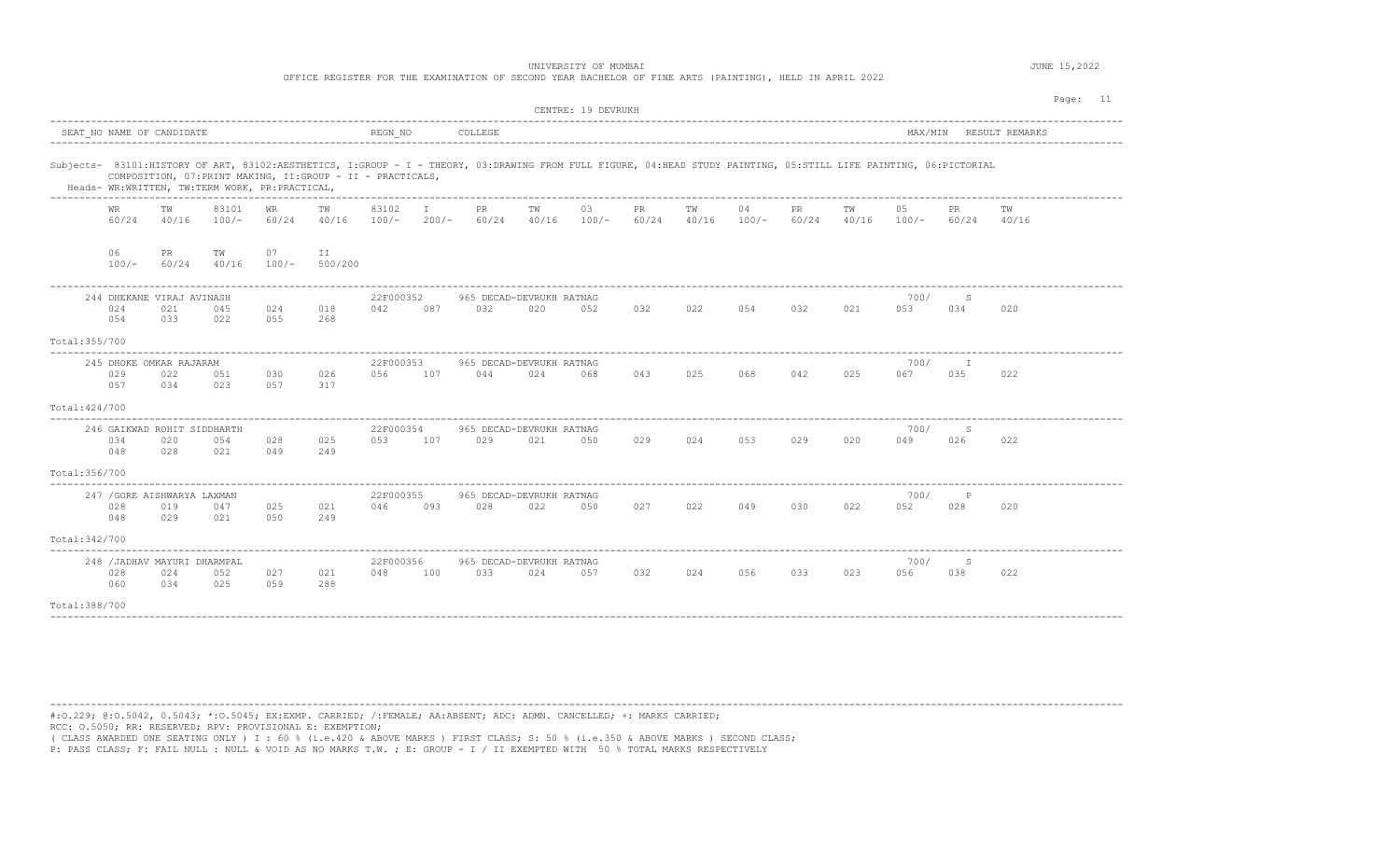| OFFICE REGISTER FOR THE EXAMINATION OF SECOND YEAR BACHELOR OF FINE ARTS (PAINTING), HELD IN APRIL 2022 |  |
|---------------------------------------------------------------------------------------------------------|--|
|---------------------------------------------------------------------------------------------------------|--|

|                | CENTRE: 19 DEVRUKH<br>REGN NO<br>SEAT NO NAME OF CANDIDATE<br>COLLEGE<br>MAX/MIN<br>RESULT REMARKS |                                            |                                                |               |                                                             |                  |                         |                                 |             |                                                                                                                                                                   |              |             |               |              | Page: 11    |               |              |             |  |
|----------------|----------------------------------------------------------------------------------------------------|--------------------------------------------|------------------------------------------------|---------------|-------------------------------------------------------------|------------------|-------------------------|---------------------------------|-------------|-------------------------------------------------------------------------------------------------------------------------------------------------------------------|--------------|-------------|---------------|--------------|-------------|---------------|--------------|-------------|--|
|                |                                                                                                    |                                            |                                                |               |                                                             |                  |                         |                                 |             |                                                                                                                                                                   |              |             |               |              |             |               |              |             |  |
|                |                                                                                                    |                                            | Heads- WR:WRITTEN, TW:TERM WORK, PR:PRACTICAL, |               | COMPOSITION, 07: PRINT MAKING, II: GROUP - II - PRACTICALS, |                  |                         |                                 |             | Subjects- 83101:HISTORY OF ART, 83102:AESTHETICS, I:GROUP - I - THEORY, 03:DRAWING FROM FULL FIGURE, 04:HEAD STUDY PAINTING, 05:STILL LIFE PAINTING, 06:PICTORIAL |              |             |               |              |             |               |              |             |  |
|                | WR<br>60/24                                                                                        | тw<br>40/16                                | 83101<br>$100/-$                               | WR.<br>60/24  | TW<br>40/16                                                 | 83102<br>$100/-$ | $\mathbb{I}$<br>$200/-$ | PR.<br>60/24                    | TW<br>40/16 | 03<br>$100/-$                                                                                                                                                     | PR.<br>60/24 | TW<br>40/16 | 04<br>$100/-$ | PR.<br>60/24 | тw<br>40/16 | 05<br>$100/-$ | PR.<br>60/24 | TW<br>40/16 |  |
|                | 06<br>$100/-$                                                                                      | PR<br>60/24                                | TW<br>40/16                                    | 07<br>$100/-$ | ΙI<br>500/200                                               |                  |                         |                                 |             |                                                                                                                                                                   |              |             |               |              |             |               |              |             |  |
|                | 024<br>054                                                                                         | 244 DHEKANE VIRAJ AVINASH<br>021<br>033    | 045<br>022                                     | 024<br>055    | 018<br>268                                                  | 22F000352<br>042 | 087                     | 965 DECAD-DEVRUKH RATNAG<br>032 | 020         | 052                                                                                                                                                               | 032          | 022         | 054           | 032          | 021         | 700/<br>053   | S<br>034     | 020         |  |
| Total: 355/700 |                                                                                                    |                                            |                                                |               |                                                             |                  |                         |                                 |             |                                                                                                                                                                   |              |             |               |              |             |               |              |             |  |
|                | 029<br>057                                                                                         | 245 DHOKE OMKAR RAJARAM<br>022<br>034      | 051<br>023                                     | 030<br>057    | 026<br>317                                                  | 22F000353<br>056 | 107                     | 965 DECAD-DEVRUKH RATNAG<br>044 | 024         | 068                                                                                                                                                               | 043          | 025         | 068           | 042          | 025         | 700/<br>067   | T<br>035     | 022         |  |
| Total: 424/700 |                                                                                                    |                                            |                                                |               |                                                             |                  |                         |                                 |             |                                                                                                                                                                   |              |             |               |              |             |               |              |             |  |
|                | 034<br>048                                                                                         | 246 GAIKWAD ROHIT SIDDHARTH<br>020<br>028  | 054<br>021                                     | 028<br>049    | 025<br>249                                                  | 22F000354<br>053 | 107                     | 965 DECAD-DEVRUKH RATNAG<br>029 | 021         | 050                                                                                                                                                               | 029          | 024         | 053           | 029          | 020         | 700/<br>049   | S<br>026     | 022         |  |
| Total: 356/700 |                                                                                                    |                                            |                                                |               |                                                             |                  |                         |                                 |             |                                                                                                                                                                   |              |             |               |              |             |               |              |             |  |
|                | 028<br>048                                                                                         | 247 / GORE AISHWARYA LAXMAN<br>019<br>029  | 047<br>021                                     | 025<br>050    | 021<br>249                                                  | 22F000355<br>046 | 093                     | 965 DECAD-DEVRUKH RATNAG<br>028 | 022         | 050                                                                                                                                                               | 027          | 022         | 049           | 030          | 022         | 700/<br>052   | Ρ<br>028     | 020         |  |
| Total: 342/700 |                                                                                                    |                                            |                                                |               |                                                             |                  |                         |                                 |             |                                                                                                                                                                   |              |             |               |              |             |               |              |             |  |
|                | 028<br>060                                                                                         | 248 / JADHAV MAYURI DHARMPAL<br>024<br>034 | 052<br>025                                     | 027<br>059    | 021<br>288                                                  | 22F000356<br>048 | 100                     | 965 DECAD-DEVRUKH RATNAG<br>033 | 024         | 057                                                                                                                                                               | 032          | 024         | 056           | 033          | 023         | 700/<br>056   | S<br>038     | 022         |  |
| Total: 388/700 |                                                                                                    |                                            |                                                |               |                                                             |                  |                         |                                 |             |                                                                                                                                                                   |              |             |               |              |             |               |              |             |  |

----------------------------------------------------------------------------------------------------------------------------------------------------------------------------------------

#:O.229; @:O.5042, 0.5043; \*:O.5045; EX:EXMP. CARRIED; /:FEMALE; AA:ABSENT; ADC: ADMN. CANCELLED; +: MARKS CARRIED; RCC: O.5050; RR: RESERVED; RPV: PROVISIONAL E: EXEMPTION;

( CLASS AWARDED ONE SEATING ONLY ) I : 60 % (i.e.420 & ABOVE MARKS ) FIRST CLASS; S: 50 % (i.e.350 & ABOVE MARKS ) SECOND CLASS;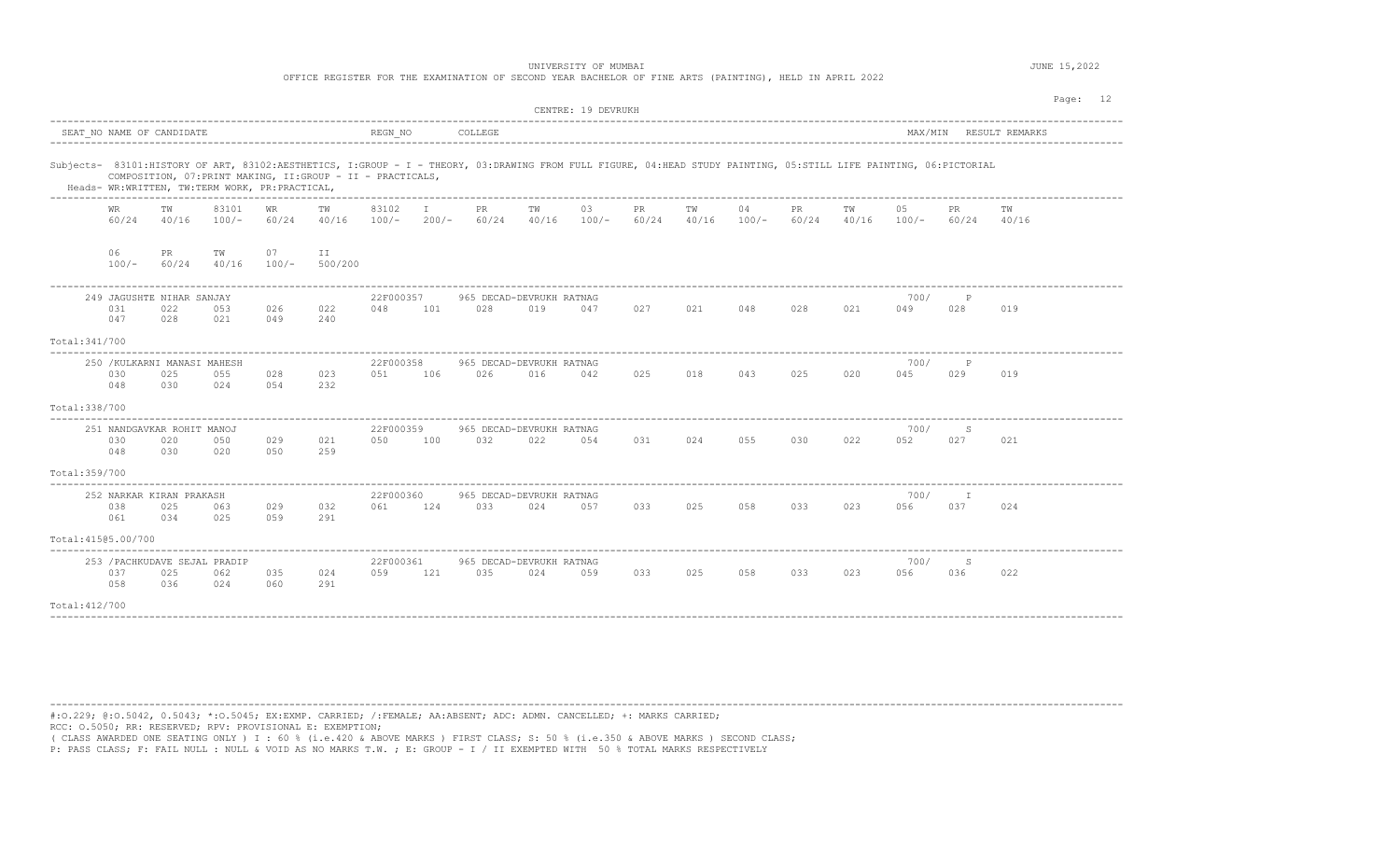| OFFICE REGISTER FOR THE EXAMINATION OF SECOND YEAR BACHELOR OF FINE ARTS (PAINTING), HELD IN APRIL 2022 |  |
|---------------------------------------------------------------------------------------------------------|--|
|---------------------------------------------------------------------------------------------------------|--|

|                     | CENTRE: 19 DEVRUKH<br>REGN NO<br>SEAT NO NAME OF CANDIDATE<br>COLLEGE<br>MAX/MIN<br>RESULT REMARKS |                                             |                  |                                                |                                                             |                  |               |                                 |             |                                                                                                                                                                   |             |             |               |              | Page: 12    |               |                 |             |  |
|---------------------|----------------------------------------------------------------------------------------------------|---------------------------------------------|------------------|------------------------------------------------|-------------------------------------------------------------|------------------|---------------|---------------------------------|-------------|-------------------------------------------------------------------------------------------------------------------------------------------------------------------|-------------|-------------|---------------|--------------|-------------|---------------|-----------------|-------------|--|
|                     |                                                                                                    |                                             |                  |                                                |                                                             |                  |               |                                 |             |                                                                                                                                                                   |             |             |               |              |             |               |                 |             |  |
|                     |                                                                                                    |                                             |                  | Heads- WR:WRITTEN, TW:TERM WORK, PR:PRACTICAL, | COMPOSITION, 07: PRINT MAKING, II: GROUP - II - PRACTICALS, |                  |               |                                 |             | Subjects- 83101:HISTORY OF ART, 83102:AESTHETICS, I:GROUP - I - THEORY, 03:DRAWING FROM FULL FIGURE, 04:HEAD STUDY PAINTING, 05:STILL LIFE PAINTING, 06:PICTORIAL |             |             |               |              |             |               |                 |             |  |
|                     | WR.<br>60/24                                                                                       | TW<br>40/16                                 | 83101<br>$100/-$ | WR<br>60/24                                    | TW<br>40/16                                                 | 83102<br>$100/-$ | I.<br>$200/-$ | PR.<br>60/24                    | TW<br>40/16 | 03<br>$100/-$                                                                                                                                                     | PR<br>60/24 | TW<br>40/16 | 04<br>$100/-$ | PR.<br>60/24 | тw<br>40/16 | 05<br>$100/-$ | PR.<br>60/24    | тw<br>40/16 |  |
|                     | 06<br>$100/-$                                                                                      | PR<br>60/24                                 | TW<br>40/16      | 07<br>$100/-$                                  | ΙI<br>500/200                                               |                  |               |                                 |             |                                                                                                                                                                   |             |             |               |              |             |               |                 |             |  |
|                     | 031<br>047                                                                                         | 249 JAGUSHTE NIHAR SANJAY<br>022<br>028     | 053<br>021       | 026<br>049                                     | 022<br>240                                                  | 22F000357<br>048 | 101           | 965 DECAD-DEVRUKH RATNAG<br>028 | 019         | 047                                                                                                                                                               | 027         | 021         | 048           | 028          | 021         | 700/<br>049   | P<br>028        | 019         |  |
| Total: 341/700      |                                                                                                    |                                             |                  |                                                |                                                             |                  |               |                                 |             |                                                                                                                                                                   |             |             |               |              |             |               |                 |             |  |
|                     | 030<br>048                                                                                         | 250 / KULKARNI MANASI MAHESH<br>025<br>030  | 055<br>024       | 028<br>054                                     | 023<br>232                                                  | 22F000358<br>051 | 106           | 965 DECAD-DEVRUKH RATNAG<br>026 | 016         | 042                                                                                                                                                               | 025         | 018         | 043           | 025          | 020         | 700/<br>045   | P<br>029        | 019         |  |
| Total: 338/700      |                                                                                                    |                                             |                  |                                                |                                                             |                  |               |                                 |             |                                                                                                                                                                   |             |             |               |              |             |               |                 |             |  |
|                     | 030<br>048                                                                                         | 251 NANDGAVKAR ROHIT MANOJ<br>020<br>030    | 050<br>020       | 029<br>050                                     | 021<br>259                                                  | 22F000359<br>050 | 100           | 965 DECAD-DEVRUKH RATNAG<br>032 | 022         | 054                                                                                                                                                               | 031         | 024         | 055           | 030          | 022         | 700/<br>052   | S<br>027        | 021         |  |
| Total: 359/700      |                                                                                                    |                                             |                  |                                                |                                                             |                  |               |                                 |             |                                                                                                                                                                   |             |             |               |              |             |               |                 |             |  |
|                     | 038<br>061                                                                                         | 252 NARKAR KIRAN PRAKASH<br>025<br>034      | 063<br>025       | 029<br>059                                     | 032<br>291                                                  | 22F000360<br>061 | 124           | 965 DECAD-DEVRUKH RATNAG<br>033 | 024         | 057                                                                                                                                                               | 033         | 025         | 058           | 033          | 023         | 700/<br>056   | <b>T</b><br>037 | 024         |  |
| Total: 41505.00/700 |                                                                                                    |                                             |                  |                                                |                                                             |                  |               |                                 |             |                                                                                                                                                                   |             |             |               |              |             |               |                 |             |  |
|                     | 037<br>058                                                                                         | 253 / PACHKUDAVE SEJAL PRADIP<br>025<br>036 | 062<br>024       | 035<br>060                                     | 024<br>291                                                  | 22F000361<br>059 | 121           | 965 DECAD-DEVRUKH RATNAG<br>035 | 024         | 059                                                                                                                                                               | 033         | 025         | 058           | 033          | 023         | 700/<br>056   | S<br>036        | 022         |  |
| Total: 412/700      |                                                                                                    |                                             |                  |                                                |                                                             |                  |               |                                 |             |                                                                                                                                                                   |             |             |               |              |             |               |                 |             |  |

---------------------------------------------------------------------------------------------------------------------------------------------------------------------------------------- #:O.229; @:O.5042, 0.5043; \*:O.5045; EX:EXMP. CARRIED; /:FEMALE; AA:ABSENT; ADC: ADMN. CANCELLED; +: MARKS CARRIED; RCC: O.5050; RR: RESERVED; RPV: PROVISIONAL E: EXEMPTION;

( CLASS AWARDED ONE SEATING ONLY ) I : 60 % (i.e.420 & ABOVE MARKS ) FIRST CLASS; S: 50 % (i.e.350 & ABOVE MARKS ) SECOND CLASS;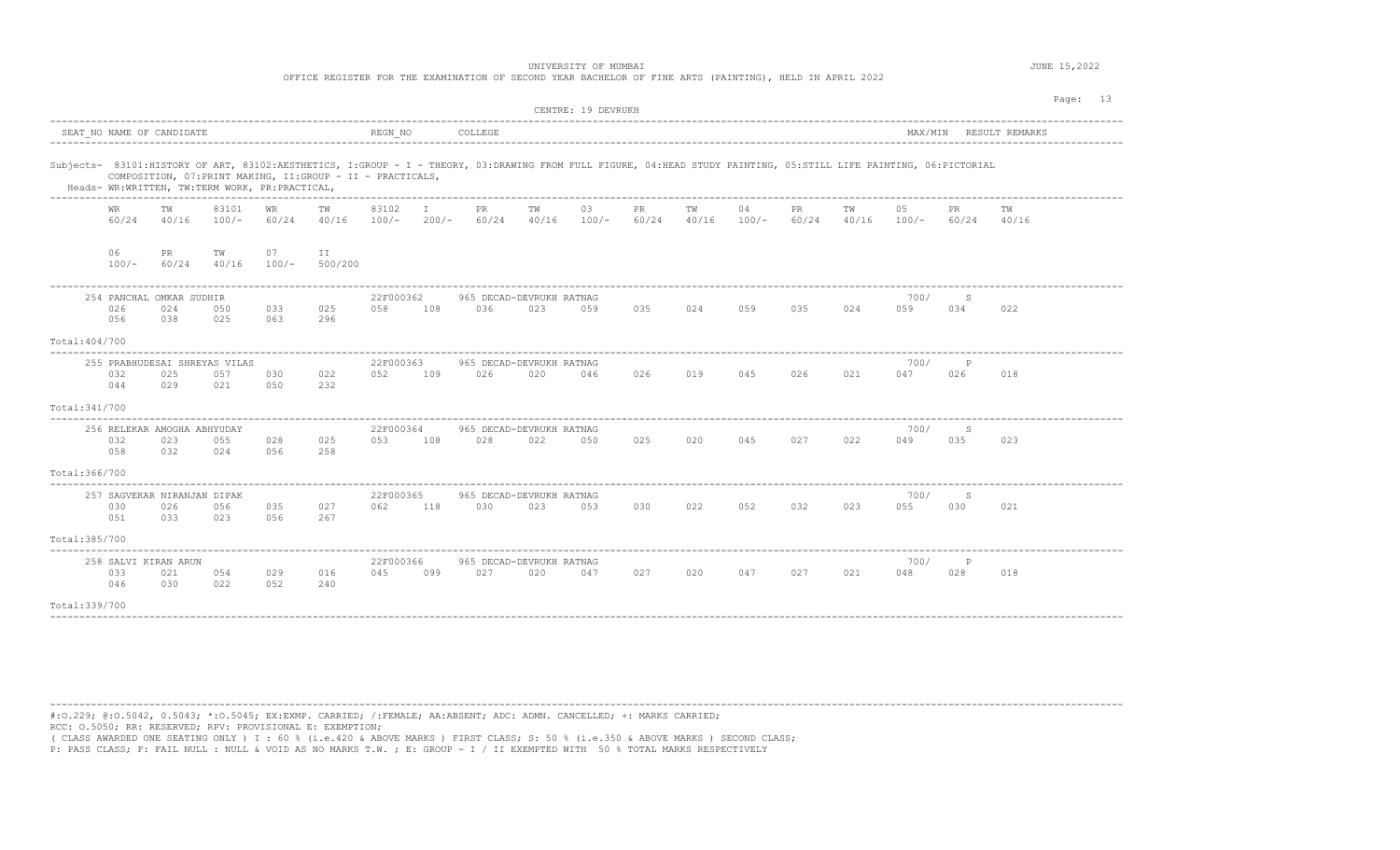OFFICE REGISTER FOR THE EXAMINATION OF SECOND YEAR BACHELOR OF FINE ARTS (PAINTING), HELD IN APRIL 2022

|                |               |                                           |                                                |               |                                                             |                  |              |                                                                                                                                                                   |             | CENTRE: 19 DEVRUKH |             |             |               |             |             |               |             |                | Page: 13 |  |
|----------------|---------------|-------------------------------------------|------------------------------------------------|---------------|-------------------------------------------------------------|------------------|--------------|-------------------------------------------------------------------------------------------------------------------------------------------------------------------|-------------|--------------------|-------------|-------------|---------------|-------------|-------------|---------------|-------------|----------------|----------|--|
|                |               | SEAT NO NAME OF CANDIDATE                 |                                                |               |                                                             | REGN NO          |              | COLLEGE                                                                                                                                                           |             |                    |             |             |               |             |             | MAX/MIN       |             | RESULT REMARKS |          |  |
|                |               |                                           | Heads- WR:WRITTEN, TW:TERM WORK, PR:PRACTICAL, |               | COMPOSITION, 07: PRINT MAKING, II: GROUP - II - PRACTICALS, |                  |              | Subjects- 83101:HISTORY OF ART, 83102:AESTHETICS, I:GROUP - I - THEORY, 03:DRAWING FROM FULL FIGURE, 04:HEAD STUDY PAINTING, 05:STILL LIFE PAINTING, 06:PICTORIAL |             |                    |             |             |               |             |             |               |             |                |          |  |
|                | WR<br>60/24   | TW<br>40/16                               | 83101<br>$100/-$                               | WR<br>60/24   | TW<br>40/16                                                 | 83102<br>$100/-$ | I<br>$200/-$ | PR<br>60/24                                                                                                                                                       | TW<br>40/16 | 03<br>$100/-$      | PR<br>60/24 | ΤW<br>40/16 | 04<br>$100/-$ | PR<br>60/24 | TW<br>40/16 | 05<br>$100/-$ | PR<br>60/24 | ΤW<br>40/16    |          |  |
|                | 06<br>$100/-$ | PR<br>60/24                               | TW<br>40/16                                    | 07<br>$100/-$ | II<br>500/200                                               |                  |              |                                                                                                                                                                   |             |                    |             |             |               |             |             |               |             |                |          |  |
|                | 026<br>056    | 254 PANCHAL OMKAR SUDHIR<br>024<br>038    | 050<br>025                                     | 033<br>063    | 025<br>296                                                  | 22F000362<br>058 | 108          | 965 DECAD-DEVRUKH RATNAG<br>036                                                                                                                                   | 023         | 059                | 035         | 024         | 059           | 035         | 024         | 700/<br>059   | S<br>034    | 022            |          |  |
| Total: 404/700 |               |                                           |                                                |               |                                                             |                  |              |                                                                                                                                                                   |             |                    |             |             |               |             |             |               |             |                |          |  |
|                | 032<br>044    | 025<br>029                                | 255 PRABHUDESAI SHREYAS VILAS<br>057<br>021    | 030<br>050    | 022<br>232                                                  | 22F000363<br>052 | 109          | 965 DECAD-DEVRUKH RATNAG<br>026                                                                                                                                   | 020         | 046                | 026         | 019         | 045           | 026         | 021         | 700/<br>047   | 026         | 018            |          |  |
| Total: 341/700 |               |                                           |                                                |               |                                                             |                  |              |                                                                                                                                                                   |             |                    |             |             |               |             |             |               |             |                |          |  |
|                | 032<br>058    | 256 RELEKAR AMOGHA ABHYUDAY<br>023<br>032 | 055<br>024                                     | 028<br>056    | 025<br>258                                                  | 22F000364<br>053 | 108          | 965 DECAD-DEVRUKH RATNAG<br>028                                                                                                                                   | 022         | 050                | 025         | 020         | 045           | 027         | 022         | 700/<br>049   | S<br>035    | 023            |          |  |
| Total: 366/700 |               |                                           |                                                |               |                                                             |                  |              |                                                                                                                                                                   |             |                    |             |             |               |             |             |               |             |                |          |  |
|                | 030<br>051    | 257 SAGVEKAR NIRANJAN DIPAK<br>026<br>033 | 056<br>023                                     | 035<br>056    | 027<br>267                                                  | 22F000365<br>062 | 118          | 965 DECAD-DEVRUKH RATNAG<br>030                                                                                                                                   | 023         | 053                | 030         | 022         | 052           | 032         | 023         | 700/<br>055   | S<br>030    | 021            |          |  |
| Total: 385/700 |               |                                           |                                                |               |                                                             |                  |              |                                                                                                                                                                   |             |                    |             |             |               |             |             |               |             |                |          |  |
|                | 033<br>046    | 258 SALVI KIRAN ARUN<br>021<br>030        | 054<br>022                                     | 029<br>052    | 016<br>240                                                  | 22F000366<br>045 | 099          | 965 DECAD-DEVRUKH RATNAG<br>027                                                                                                                                   | 020         | 047                | 027         | 020         | 047           | 027         | 021         | 700/<br>048   | P<br>028    | 018            |          |  |
| Total: 339/700 |               |                                           |                                                |               |                                                             |                  |              |                                                                                                                                                                   |             |                    |             |             |               |             |             |               |             |                |          |  |

----------------------------------------------------------------------------------------------------------------------------------------------------------------------------------------

#:O.229; @:O.5042, 0.5043; \*:O.5045; EX:EXMP. CARRIED; /:FEMALE; AA:ABSENT; ADC: ADMN. CANCELLED; +: MARKS CARRIED; RCC: O.5050; RR: RESERVED; RPV: PROVISIONAL E: EXEMPTION;

( CLASS AWARDED ONE SEATING ONLY ) I : 60 % (i.e.420 & ABOVE MARKS ) FIRST CLASS; S: 50 % (i.e.350 & ABOVE MARKS ) SECOND CLASS;<br>P: PASS CLASS; F: FAIL NULL : NULL & VOID AS NO MARKS T.W. ; E: GROUP - I / II EXEMPTED WITH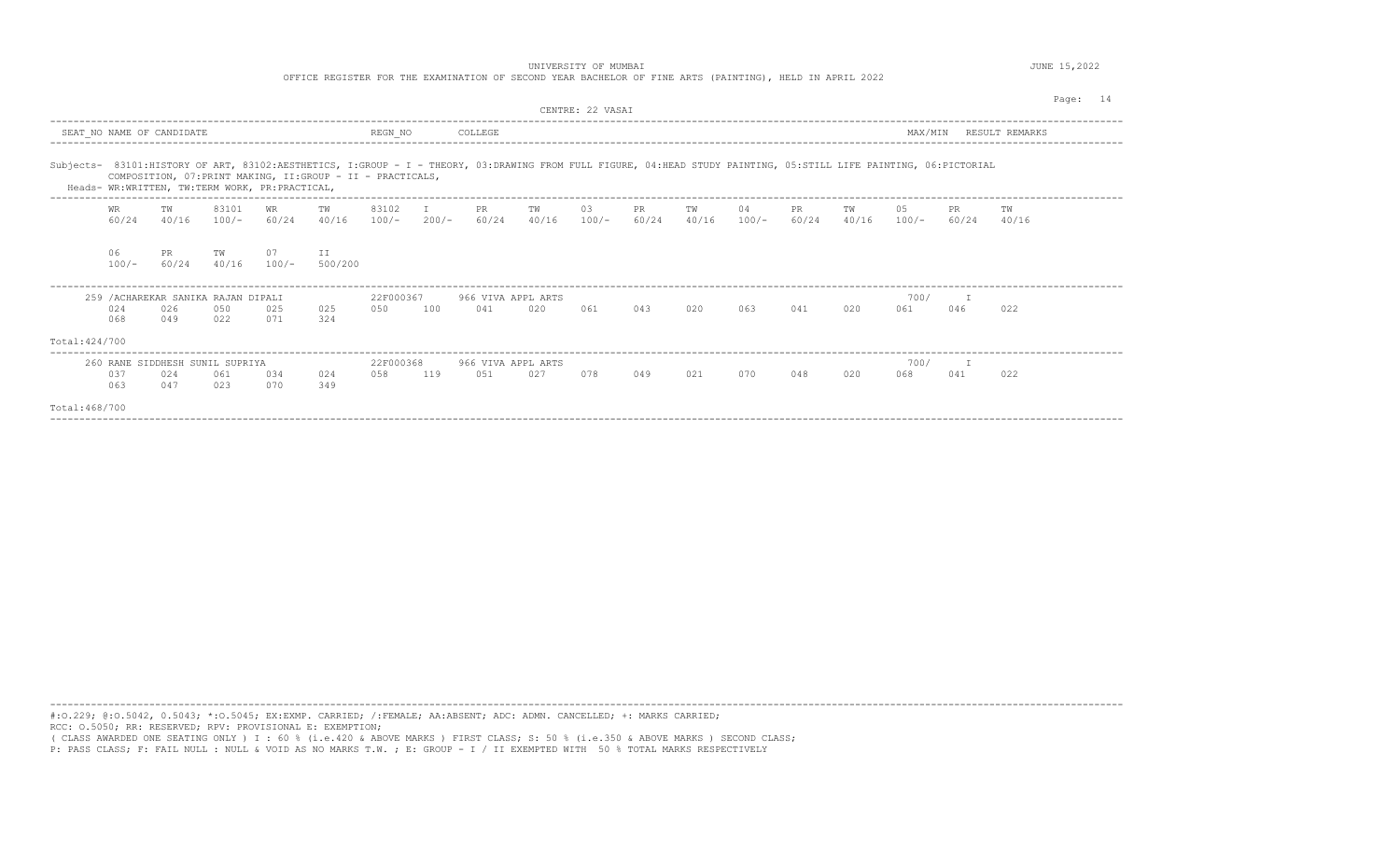UNIVERSITY OF MUMBAI **Alternative Contract Contract Contract Contract Contract Contract Contract Contract Contract Contract Contract Contract Contract Contract Contract Contract Contract Contract Contract Contract Contract** 

OFFICE REGISTER FOR THE EXAMINATION OF SECOND YEAR BACHELOR OF FINE ARTS (PAINTING), HELD IN APRIL 2022

|                |               |                                                   |             |                                                |                                                                                                                                                                                                                                  |                   |              |                           |             | CENTRE: 22 VASAI |             |             |               |              |             |               |              |                | Page:<br>14 |
|----------------|---------------|---------------------------------------------------|-------------|------------------------------------------------|----------------------------------------------------------------------------------------------------------------------------------------------------------------------------------------------------------------------------------|-------------------|--------------|---------------------------|-------------|------------------|-------------|-------------|---------------|--------------|-------------|---------------|--------------|----------------|-------------|
|                |               | SEAT NO NAME OF CANDIDATE                         |             |                                                |                                                                                                                                                                                                                                  | REGN NO           |              | COLLEGE                   |             |                  |             |             |               |              |             | MAX/MIN       |              | RESULT REMARKS |             |
|                |               | ----------------------------------                |             | Heads- WR:WRITTEN, TW:TERM WORK, PR:PRACTICAL, | Subjects- 83101:HISTORY OF ART, 83102:AESTHETICS, I:GROUP - I - THEORY, 03:DRAWING FROM FULL FIGURE, 04:HEAD STUDY PAINTING, 05:STILL LIFE PAINTING, 06:PICTORIAL<br>COMPOSITION, 07: PRINT MAKING, II: GROUP - II - PRACTICALS, |                   |              |                           |             |                  |             |             |               |              |             |               |              |                |             |
|                | WR<br>60/24   | TW<br>40/16                                       | 83101       | WR<br>$100/-$ 60/24 40/16                      | TW                                                                                                                                                                                                                               | 83102<br>$100/-$  | T<br>$200/-$ | PR<br>60/24               | TW<br>40/16 | 03<br>$100/-$    | PR<br>60/24 | TW<br>40/16 | 04<br>$100/-$ | PR.<br>60/24 | TW<br>40/16 | 05<br>$100/-$ | PR.<br>60/24 | TW<br>40/16    |             |
|                | 06<br>$100/-$ | PR.<br>60/24                                      | TW<br>40/16 | 07<br>$100/-$                                  | II<br>500/200                                                                                                                                                                                                                    |                   |              |                           |             |                  |             |             |               |              |             |               |              |                |             |
| Total: 424/700 | 024<br>068    | 259 / ACHAREKAR SANIKA RAJAN DIPALI<br>026<br>049 | 050<br>022  | 025<br>071                                     | 025<br>324                                                                                                                                                                                                                       | 22F000367<br>0.50 | 100          | 966 VIVA APPL ARTS<br>041 | 020         | 061              | 043         | 020         | 063           | 041          | 020         | 700/<br>061   | T<br>046     | 022            |             |
| Total: 468/700 | 037<br>063    | 260 RANE SIDDHESH SUNIL SUPRIYA<br>024<br>047     | 061<br>023  | 034<br>070                                     | 024<br>349                                                                                                                                                                                                                       | 22F000368<br>058  | 119          | 966 VIVA APPL ARTS<br>051 | 027         | 078              | 049         | 021         | 070           | 048          | 020         | 700/<br>068   | 041          | 022            |             |

----------------------------------------------------------------------------------------------------------------------------------------------------------------------------------------

#:O.229; @:O.5042, 0.5043; \*:O.5045; EX:EXMP. CARRIED; /:FEMALE; AA:ABSENT; ADC: ADMN. CANCELLED; +: MARKS CARRIED; RCC: O.5050; RR: RESERVED; RPV: PROVISIONAL E: EXEMPTION; ( CLASS AWARDED ONE SEATING ONLY ) I : 60 % (i.e.420 & ABOVE MARKS ) FIRST CLASS; S: 50 % (i.e.350 & ABOVE MARKS ) SECOND CLASS;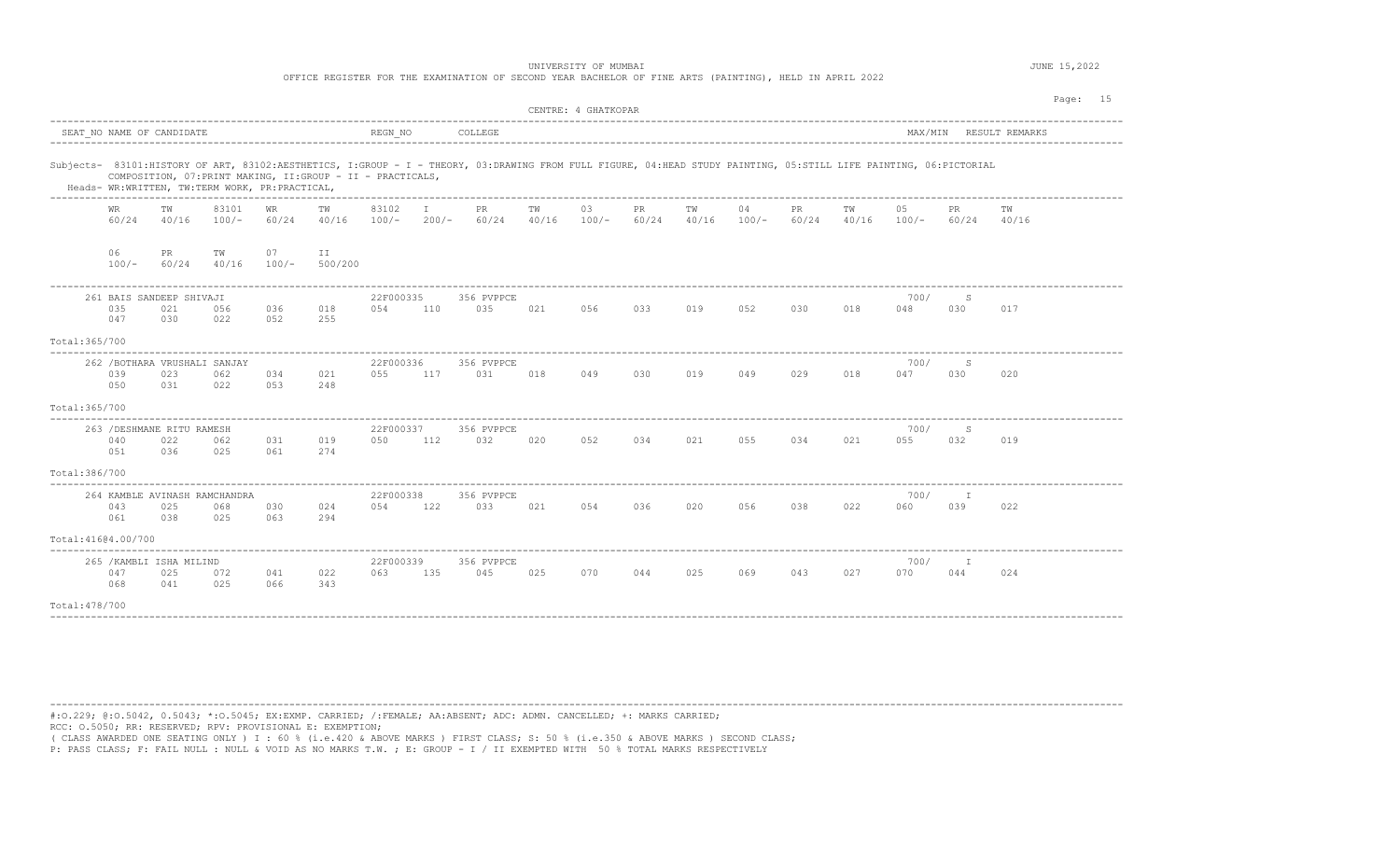| UNIVERSITY OF MUMBAI                                                                                    | 15,2022 |
|---------------------------------------------------------------------------------------------------------|---------|
| OFFICE REGISTER FOR THE EXAMINATION OF SECOND YEAR BACHELOR OF FINE ARTS (PAINTING), HELD IN APRIL 2022 |         |
|                                                                                                         |         |

|                                                                                                                                                                                                                     |                                                             |                  |               |                   |                  |                   |                   |             | CENTRE: 4 GHATKOPAR |                    |             |               |                     |             |               |              | Page: 15       |
|---------------------------------------------------------------------------------------------------------------------------------------------------------------------------------------------------------------------|-------------------------------------------------------------|------------------|---------------|-------------------|------------------|-------------------|-------------------|-------------|---------------------|--------------------|-------------|---------------|---------------------|-------------|---------------|--------------|----------------|
| SEAT NO NAME OF CANDIDATE                                                                                                                                                                                           |                                                             |                  |               |                   | REGN NO          |                   | COLLEGE           |             |                     |                    |             |               |                     |             | MAX/MIN       |              | RESULT REMARKS |
| Subjects- 83101:HISTORY OF ART, 83102:AESTHETICS, I:GROUP - I - THEORY, 03:DRAWING FROM FULL FIGURE, 04:HEAD STUDY PAINTING, 05:STILL LIFE PAINTING, 06:PICTORIAL<br>Heads- WR:WRITTEN, TW:TERM WORK, PR:PRACTICAL, | COMPOSITION, 07: PRINT MAKING, II: GROUP - II - PRACTICALS, |                  |               |                   |                  |                   |                   |             |                     |                    |             |               |                     |             |               |              |                |
| <b>WR</b><br>60/24                                                                                                                                                                                                  | TW<br>40/16                                                 | 83101<br>$100/-$ | WR<br>60/24   | TW<br>40/16       | 83102<br>$100/-$ | $\top$<br>$200/-$ | PR.<br>60/24      | TW<br>40/16 | 03<br>$100/-$       | <b>PR</b><br>60/24 | TW<br>40/16 | 04<br>$100/-$ | PR<br>60/24         | TW<br>40/16 | 05<br>$100/-$ | PR.<br>60/24 | TW<br>40/16    |
| 06<br>$100/-$                                                                                                                                                                                                       | PR.<br>60/24                                                | TW<br>40/16      | 07<br>$100/-$ | II<br>500/200     |                  |                   |                   |             |                     |                    |             |               |                     |             |               |              |                |
| 035<br>047                                                                                                                                                                                                          | 261 BAIS SANDEEP SHIVAJI<br>021<br>0.30                     | 056<br>022       | 036<br>052    | 018<br>255        | 22F000335<br>054 | 110               | 356 PVPPCE<br>035 | 021         | 056                 | 033                | 019         | 052           | 030                 | 018         | 700/<br>048   | -S<br>030    | 017            |
| Total: 365/700                                                                                                                                                                                                      |                                                             |                  |               |                   |                  |                   |                   |             |                     |                    |             |               |                     |             |               |              |                |
| 039<br>050                                                                                                                                                                                                          | 262 / BOTHARA VRUSHALI SANJAY<br>023<br>031                 | 062<br>022       | 034<br>053    | 021<br>248        | 22F000336<br>055 | 117               | 356 PVPPCE<br>031 | 018         | 049                 | 030                | 019         | 049           | 029                 | 018         | 700/<br>047   | S<br>030     | 020            |
| Total: 365/700                                                                                                                                                                                                      |                                                             |                  |               |                   |                  |                   |                   |             |                     |                    |             |               |                     |             |               |              |                |
| 040<br>0.51                                                                                                                                                                                                         | 263 / DESHMANE RITU RAMESH<br>022<br>036                    | 062<br>025       | 031<br>061    | 019<br>274        | 22F000337<br>050 | 112               | 356 PVPPCE<br>032 | 020         | 052                 | 034                | 021         | 055           | 034                 | 021         | 700/<br>055   | S<br>032     | 019            |
| Total: 386/700                                                                                                                                                                                                      |                                                             |                  |               |                   |                  |                   |                   |             |                     |                    |             |               |                     |             |               |              |                |
| 043<br>061                                                                                                                                                                                                          | 264 KAMBLE AVINASH RAMCHANDRA<br>025<br>038                 | 068<br>025       | 030<br>063    | 024<br>294        | 22F000338<br>054 | 122               | 356 PVPPCE<br>033 | 021         | 054                 | 036                | 020         | 056           | 038                 | 022         | 700/<br>060   | I<br>039     | 022            |
| Total: 41604.00/700                                                                                                                                                                                                 |                                                             |                  |               |                   |                  |                   |                   |             |                     |                    |             |               |                     |             |               |              |                |
| 265 / KAMBLI ISHA MILIND<br>047<br>068                                                                                                                                                                              | 022<br>343                                                  | 22F000339<br>063 | 135           | 356 PVPPCE<br>045 | 025              | 070               | 044               | 025         | 069                 | 043                | 027         | 700/<br>070   | $\mathbb{I}$<br>044 | 024         |               |              |                |
| Total: 478/700                                                                                                                                                                                                      |                                                             |                  |               |                   |                  |                   |                   |             |                     |                    |             |               |                     |             |               |              |                |

----------------------------------------------------------------------------------------------------------------------------------------------------------------------------------------

----------------------------------------------------------------------------------------------------------------------------------------------------------------------------------------

#:O.229; @:O.5042, 0.5043; \*:O.5045; EX:EXMP. CARRIED; /:FEMALE; AA:ABSENT; ADC: ADMN. CANCELLED; +: MARKS CARRIED; RCC: O.5050; RR: RESERVED; RPV: PROVISIONAL E: EXEMPTION;

( CLASS AWARDED ONE SEATING ONLY ) I : 60 % (i.e.420 & ABOVE MARKS ) FIRST CLASS; S: 50 % (i.e.350 & ABOVE MARKS ) SECOND CLASS;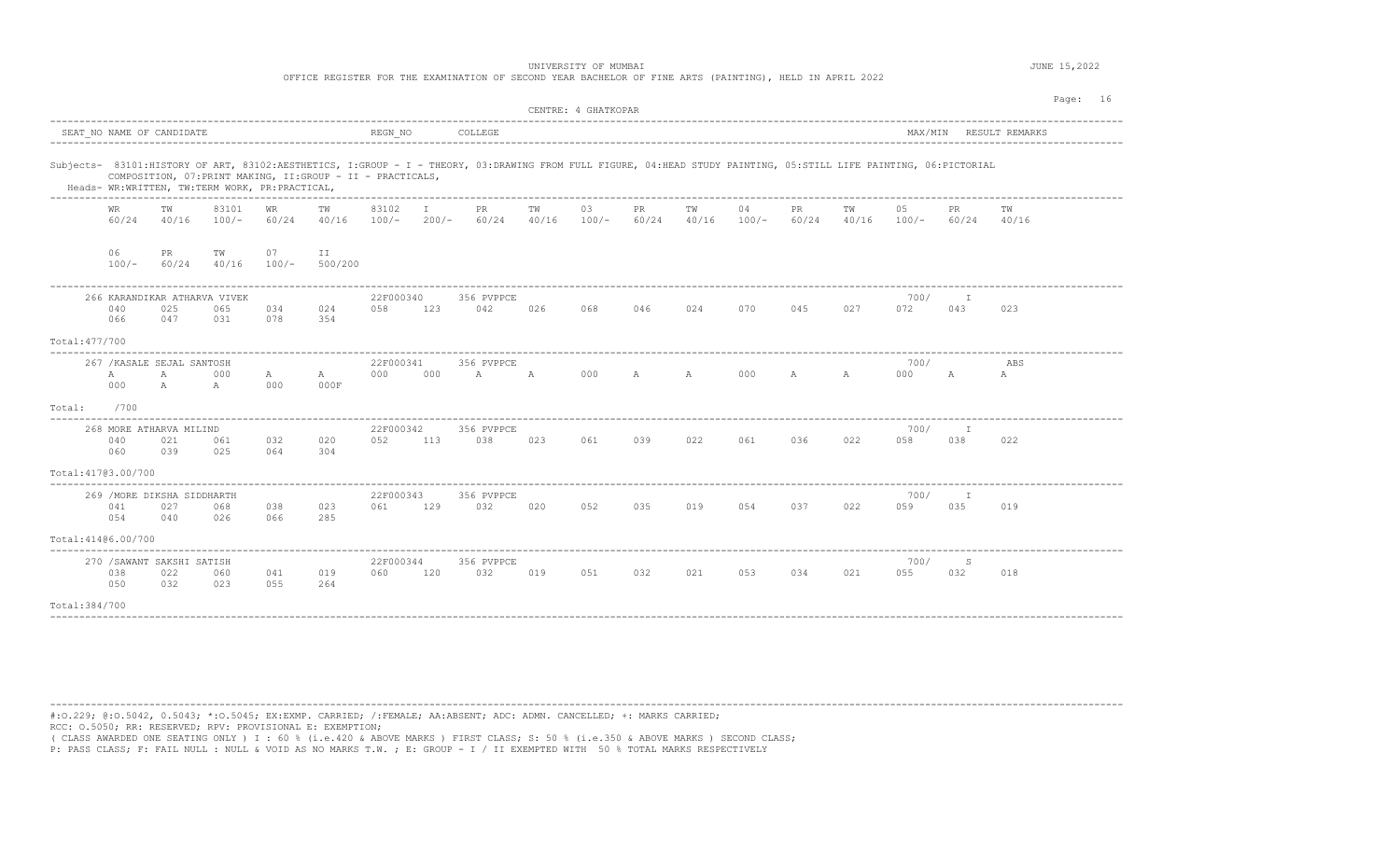OFFICE REGISTER FOR THE EXAMINATION OF SECOND YEAR BACHELOR OF FINE ARTS (PAINTING), HELD IN APRIL 2022

|                     | CENTRE: 4 GHATKOPAR<br>SEAT NO NAME OF CANDIDATE<br>REGN NO<br>COLLEGE<br>MAX/MIN RESULT REMARKS |                                            |                                                |                    |                                                             |                  |                         |                                                                                                                                                                   |             |               |              |              |               |             |             | Page: 16      |                     |             |  |
|---------------------|--------------------------------------------------------------------------------------------------|--------------------------------------------|------------------------------------------------|--------------------|-------------------------------------------------------------|------------------|-------------------------|-------------------------------------------------------------------------------------------------------------------------------------------------------------------|-------------|---------------|--------------|--------------|---------------|-------------|-------------|---------------|---------------------|-------------|--|
|                     |                                                                                                  |                                            |                                                |                    |                                                             |                  |                         |                                                                                                                                                                   |             |               |              |              |               |             |             |               |                     |             |  |
|                     |                                                                                                  |                                            | Heads- WR:WRITTEN, TW:TERM WORK, PR:PRACTICAL, |                    | COMPOSITION, 07: PRINT MAKING, II: GROUP - II - PRACTICALS, |                  |                         | Subjects- 83101:HISTORY OF ART, 83102:AESTHETICS, I:GROUP - I - THEORY, 03:DRAWING FROM FULL FIGURE, 04:HEAD STUDY PAINTING, 05:STILL LIFE PAINTING, 06:PICTORIAL |             |               |              |              |               |             |             |               |                     |             |  |
|                     | <b>WR</b><br>60/24                                                                               | TW<br>40/16                                | 83101<br>$100/-$                               | <b>WR</b><br>60/24 | TW<br>40/16                                                 | 83102<br>$100/-$ | $\mathbf{I}$<br>$200/-$ | PR<br>60/24                                                                                                                                                       | TW<br>40/16 | 03<br>$100/-$ | PR<br>60/24  | TW<br>40/16  | 04<br>$100/-$ | PR<br>60/24 | TW<br>40/16 | 05<br>$100/-$ | PR<br>60/24         | TW<br>40/16 |  |
|                     | 06<br>$100/-$                                                                                    | PR<br>60/24                                | TW<br>40/16                                    | 07<br>$100/-$      | II<br>500/200                                               |                  |                         |                                                                                                                                                                   |             |               |              |              |               |             |             |               |                     |             |  |
|                     | 040<br>066                                                                                       | 266 KARANDIKAR ATHARVA VIVEK<br>025<br>047 | 065<br>0.31                                    | 034<br>078         | 024<br>354                                                  | 22F000340<br>058 | 123                     | 356 PVPPCE<br>042                                                                                                                                                 | 026         | 068           | 046          | 024          | 070           | 045         | 027         | 700/<br>072   | 043                 | 023         |  |
| Total: 477/700      |                                                                                                  |                                            |                                                |                    |                                                             |                  |                         |                                                                                                                                                                   |             |               |              |              |               |             |             |               |                     |             |  |
|                     | $\mathbb{A}$<br>000                                                                              | 267 / KASALE SEJAL SANTOSH<br>A<br>A       | 000<br>$\mathbb{A}$                            | A<br>000           | A<br>000F                                                   | 22F000341<br>000 | 000                     | 356 PVPPCE<br>$\mathbb{A}$                                                                                                                                        | A           | 000           | $\mathbb{A}$ | $\mathbb{A}$ | 000           | A           | A           | 700/<br>000   | А                   | ABS<br>А    |  |
| Total:              | /700                                                                                             |                                            |                                                |                    |                                                             |                  |                         |                                                                                                                                                                   |             |               |              |              |               |             |             |               |                     |             |  |
|                     | 040<br>060                                                                                       | 268 MORE ATHARVA MILIND<br>021<br>039      | 061<br>025                                     | 032<br>064         | 020<br>304                                                  | 22F000342<br>052 | 113                     | 356 PVPPCE<br>038                                                                                                                                                 | 023         | 061           | 039          | 022          | 061           | 036         | 022         | 700/<br>058   | Ι.<br>038           | 022         |  |
| Total: 41703.00/700 |                                                                                                  |                                            |                                                |                    |                                                             |                  |                         |                                                                                                                                                                   |             |               |              |              |               |             |             |               |                     |             |  |
|                     | 041<br>054                                                                                       | 269 / MORE DIKSHA SIDDHARTH<br>027<br>040  | 068<br>026                                     | 038<br>066         | 023<br>285                                                  | 22F000343<br>061 | 129                     | 356 PVPPCE<br>032                                                                                                                                                 | 020         | 052           | 035          | 019          | 054           | 037         | 022         | 700/<br>059   | $\mathbb{I}$<br>035 | 019         |  |
| Total: 41406.00/700 |                                                                                                  |                                            |                                                |                    |                                                             |                  |                         |                                                                                                                                                                   |             |               |              |              |               |             |             |               |                     |             |  |
|                     | 038<br>050                                                                                       | 270 / SAWANT SAKSHI SATISH<br>022<br>032   | 060<br>023                                     | 041<br>055         | 019<br>264                                                  | 22F000344<br>060 | 120                     | 356 PVPPCE<br>032                                                                                                                                                 | 019         | 051           | 032          | 021          | 053           | 034         | 021         | 700/<br>055   | S<br>032            | 018         |  |
| Total: 384/700      |                                                                                                  |                                            |                                                |                    |                                                             |                  |                         |                                                                                                                                                                   |             |               |              |              |               |             |             |               |                     |             |  |

---------------------------------------------------------------------------------------------------------------------------------------------------------------------------------------- #:O.229; @:O.5042, 0.5043; \*:O.5045; EX:EXMP. CARRIED; /:FEMALE; AA:ABSENT; ADC: ADMN. CANCELLED; +: MARKS CARRIED; RCC: O.5050; RR: RESERVED; RPV: PROVISIONAL E: EXEMPTION;

( CLASS AWARDED ONE SEATING ONLY ) I : 60 % (i.e.420 & ABOVE MARKS ) FIRST CLASS; S: 50 % (i.e.350 & ABOVE MARKS ) SECOND CLASS;<br>P: PASS CLASS; F: FAIL NULL : NULL & VOID AS NO MARKS T.W. ; E: GROUP - I / II EXEMPTED WITH